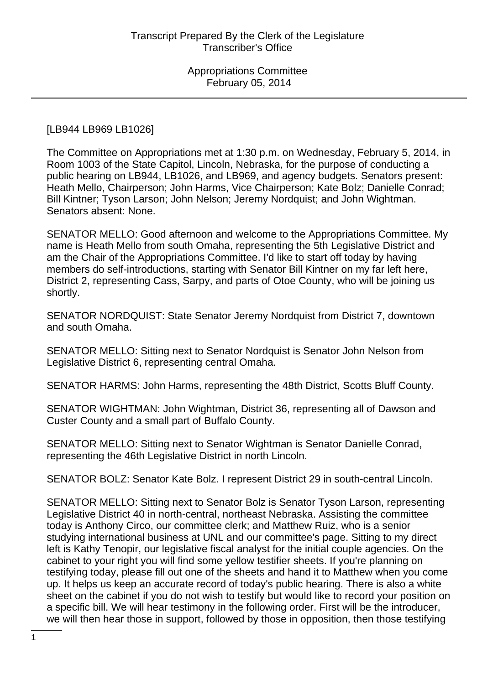[LB944 LB969 LB1026]

The Committee on Appropriations met at 1:30 p.m. on Wednesday, February 5, 2014, in Room 1003 of the State Capitol, Lincoln, Nebraska, for the purpose of conducting a public hearing on LB944, LB1026, and LB969, and agency budgets. Senators present: Heath Mello, Chairperson; John Harms, Vice Chairperson; Kate Bolz; Danielle Conrad; Bill Kintner; Tyson Larson; John Nelson; Jeremy Nordquist; and John Wightman. Senators absent: None.

SENATOR MELLO: Good afternoon and welcome to the Appropriations Committee. My name is Heath Mello from south Omaha, representing the 5th Legislative District and am the Chair of the Appropriations Committee. I'd like to start off today by having members do self-introductions, starting with Senator Bill Kintner on my far left here, District 2, representing Cass, Sarpy, and parts of Otoe County, who will be joining us shortly.

SENATOR NORDQUIST: State Senator Jeremy Nordquist from District 7, downtown and south Omaha.

SENATOR MELLO: Sitting next to Senator Nordquist is Senator John Nelson from Legislative District 6, representing central Omaha.

SENATOR HARMS: John Harms, representing the 48th District, Scotts Bluff County.

SENATOR WIGHTMAN: John Wightman, District 36, representing all of Dawson and Custer County and a small part of Buffalo County.

SENATOR MELLO: Sitting next to Senator Wightman is Senator Danielle Conrad, representing the 46th Legislative District in north Lincoln.

SENATOR BOLZ: Senator Kate Bolz. I represent District 29 in south-central Lincoln.

SENATOR MELLO: Sitting next to Senator Bolz is Senator Tyson Larson, representing Legislative District 40 in north-central, northeast Nebraska. Assisting the committee today is Anthony Circo, our committee clerk; and Matthew Ruiz, who is a senior studying international business at UNL and our committee's page. Sitting to my direct left is Kathy Tenopir, our legislative fiscal analyst for the initial couple agencies. On the cabinet to your right you will find some yellow testifier sheets. If you're planning on testifying today, please fill out one of the sheets and hand it to Matthew when you come up. It helps us keep an accurate record of today's public hearing. There is also a white sheet on the cabinet if you do not wish to testify but would like to record your position on a specific bill. We will hear testimony in the following order. First will be the introducer, we will then hear those in support, followed by those in opposition, then those testifying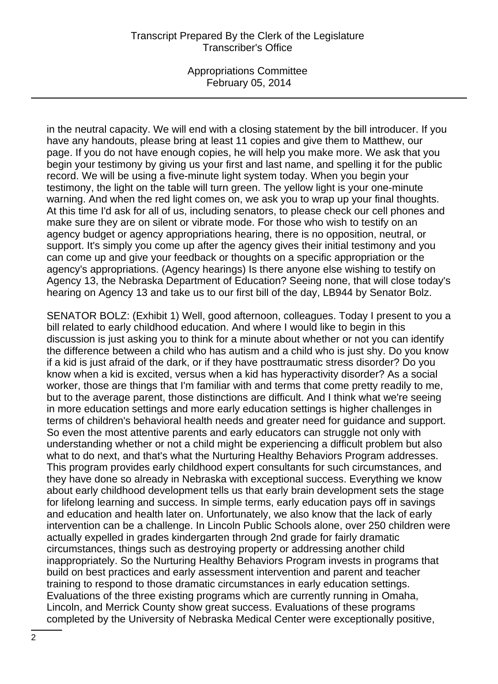Appropriations Committee February 05, 2014

in the neutral capacity. We will end with a closing statement by the bill introducer. If you have any handouts, please bring at least 11 copies and give them to Matthew, our page. If you do not have enough copies, he will help you make more. We ask that you begin your testimony by giving us your first and last name, and spelling it for the public record. We will be using a five-minute light system today. When you begin your testimony, the light on the table will turn green. The yellow light is your one-minute warning. And when the red light comes on, we ask you to wrap up your final thoughts. At this time I'd ask for all of us, including senators, to please check our cell phones and make sure they are on silent or vibrate mode. For those who wish to testify on an agency budget or agency appropriations hearing, there is no opposition, neutral, or support. It's simply you come up after the agency gives their initial testimony and you can come up and give your feedback or thoughts on a specific appropriation or the agency's appropriations. (Agency hearings) Is there anyone else wishing to testify on Agency 13, the Nebraska Department of Education? Seeing none, that will close today's hearing on Agency 13 and take us to our first bill of the day, LB944 by Senator Bolz.

SENATOR BOLZ: (Exhibit 1) Well, good afternoon, colleagues. Today I present to you a bill related to early childhood education. And where I would like to begin in this discussion is just asking you to think for a minute about whether or not you can identify the difference between a child who has autism and a child who is just shy. Do you know if a kid is just afraid of the dark, or if they have posttraumatic stress disorder? Do you know when a kid is excited, versus when a kid has hyperactivity disorder? As a social worker, those are things that I'm familiar with and terms that come pretty readily to me, but to the average parent, those distinctions are difficult. And I think what we're seeing in more education settings and more early education settings is higher challenges in terms of children's behavioral health needs and greater need for guidance and support. So even the most attentive parents and early educators can struggle not only with understanding whether or not a child might be experiencing a difficult problem but also what to do next, and that's what the Nurturing Healthy Behaviors Program addresses. This program provides early childhood expert consultants for such circumstances, and they have done so already in Nebraska with exceptional success. Everything we know about early childhood development tells us that early brain development sets the stage for lifelong learning and success. In simple terms, early education pays off in savings and education and health later on. Unfortunately, we also know that the lack of early intervention can be a challenge. In Lincoln Public Schools alone, over 250 children were actually expelled in grades kindergarten through 2nd grade for fairly dramatic circumstances, things such as destroying property or addressing another child inappropriately. So the Nurturing Healthy Behaviors Program invests in programs that build on best practices and early assessment intervention and parent and teacher training to respond to those dramatic circumstances in early education settings. Evaluations of the three existing programs which are currently running in Omaha, Lincoln, and Merrick County show great success. Evaluations of these programs completed by the University of Nebraska Medical Center were exceptionally positive,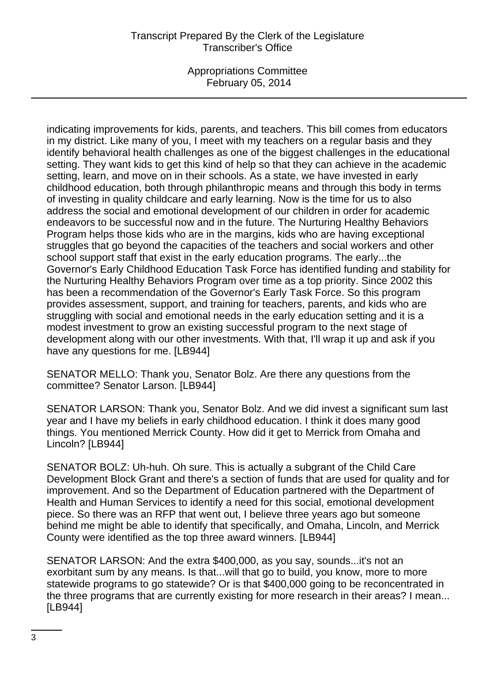Appropriations Committee February 05, 2014

indicating improvements for kids, parents, and teachers. This bill comes from educators in my district. Like many of you, I meet with my teachers on a regular basis and they identify behavioral health challenges as one of the biggest challenges in the educational setting. They want kids to get this kind of help so that they can achieve in the academic setting, learn, and move on in their schools. As a state, we have invested in early childhood education, both through philanthropic means and through this body in terms of investing in quality childcare and early learning. Now is the time for us to also address the social and emotional development of our children in order for academic endeavors to be successful now and in the future. The Nurturing Healthy Behaviors Program helps those kids who are in the margins, kids who are having exceptional struggles that go beyond the capacities of the teachers and social workers and other school support staff that exist in the early education programs. The early...the Governor's Early Childhood Education Task Force has identified funding and stability for the Nurturing Healthy Behaviors Program over time as a top priority. Since 2002 this has been a recommendation of the Governor's Early Task Force. So this program provides assessment, support, and training for teachers, parents, and kids who are struggling with social and emotional needs in the early education setting and it is a modest investment to grow an existing successful program to the next stage of development along with our other investments. With that, I'll wrap it up and ask if you have any questions for me. [LB944]

SENATOR MELLO: Thank you, Senator Bolz. Are there any questions from the committee? Senator Larson. [LB944]

SENATOR LARSON: Thank you, Senator Bolz. And we did invest a significant sum last year and I have my beliefs in early childhood education. I think it does many good things. You mentioned Merrick County. How did it get to Merrick from Omaha and Lincoln? [LB944]

SENATOR BOLZ: Uh-huh. Oh sure. This is actually a subgrant of the Child Care Development Block Grant and there's a section of funds that are used for quality and for improvement. And so the Department of Education partnered with the Department of Health and Human Services to identify a need for this social, emotional development piece. So there was an RFP that went out, I believe three years ago but someone behind me might be able to identify that specifically, and Omaha, Lincoln, and Merrick County were identified as the top three award winners. [LB944]

SENATOR LARSON: And the extra \$400,000, as you say, sounds...it's not an exorbitant sum by any means. Is that...will that go to build, you know, more to more statewide programs to go statewide? Or is that \$400,000 going to be reconcentrated in the three programs that are currently existing for more research in their areas? I mean... [LB944]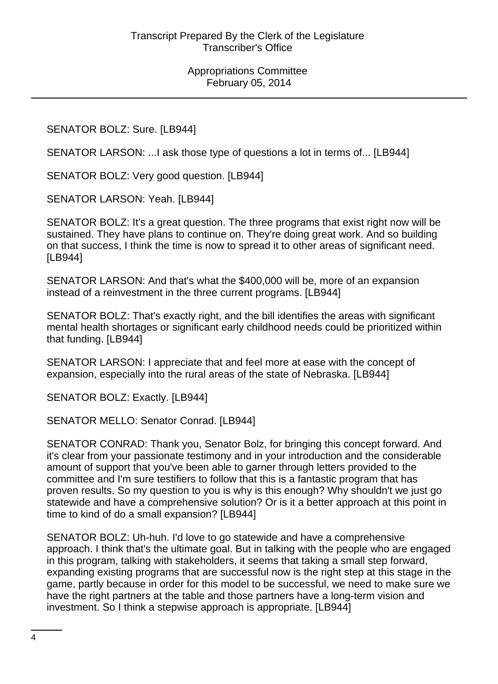# SENATOR BOLZ: Sure. [LB944]

SENATOR LARSON: ...I ask those type of questions a lot in terms of... [LB944]

SENATOR BOLZ: Very good question. [LB944]

SENATOR LARSON: Yeah. [LB944]

SENATOR BOLZ: It's a great question. The three programs that exist right now will be sustained. They have plans to continue on. They're doing great work. And so building on that success, I think the time is now to spread it to other areas of significant need. [LB944]

SENATOR LARSON: And that's what the \$400,000 will be, more of an expansion instead of a reinvestment in the three current programs. [LB944]

SENATOR BOLZ: That's exactly right, and the bill identifies the areas with significant mental health shortages or significant early childhood needs could be prioritized within that funding. [LB944]

SENATOR LARSON: I appreciate that and feel more at ease with the concept of expansion, especially into the rural areas of the state of Nebraska. [LB944]

SENATOR BOLZ: Exactly. [LB944]

SENATOR MELLO: Senator Conrad. [LB944]

SENATOR CONRAD: Thank you, Senator Bolz, for bringing this concept forward. And it's clear from your passionate testimony and in your introduction and the considerable amount of support that you've been able to garner through letters provided to the committee and I'm sure testifiers to follow that this is a fantastic program that has proven results. So my question to you is why is this enough? Why shouldn't we just go statewide and have a comprehensive solution? Or is it a better approach at this point in time to kind of do a small expansion? [LB944]

SENATOR BOLZ: Uh-huh. I'd love to go statewide and have a comprehensive approach. I think that's the ultimate goal. But in talking with the people who are engaged in this program, talking with stakeholders, it seems that taking a small step forward, expanding existing programs that are successful now is the right step at this stage in the game, partly because in order for this model to be successful, we need to make sure we have the right partners at the table and those partners have a long-term vision and investment. So I think a stepwise approach is appropriate. [LB944]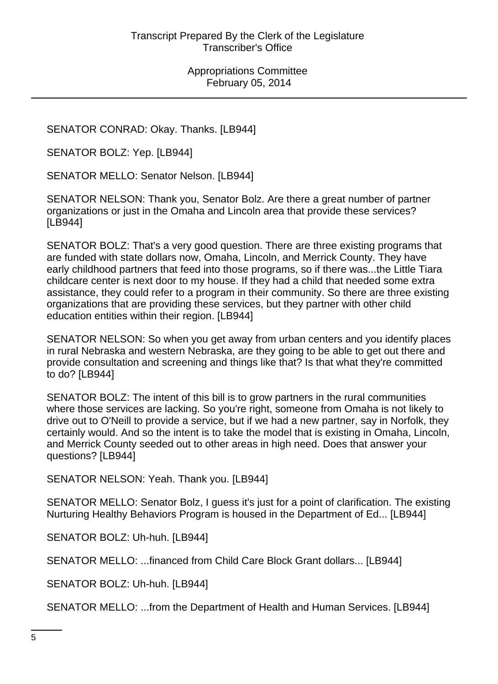SENATOR CONRAD: Okay. Thanks. [LB944]

SENATOR BOLZ: Yep. [LB944]

SENATOR MELLO: Senator Nelson. [LB944]

SENATOR NELSON: Thank you, Senator Bolz. Are there a great number of partner organizations or just in the Omaha and Lincoln area that provide these services? [LB944]

SENATOR BOLZ: That's a very good question. There are three existing programs that are funded with state dollars now, Omaha, Lincoln, and Merrick County. They have early childhood partners that feed into those programs, so if there was...the Little Tiara childcare center is next door to my house. If they had a child that needed some extra assistance, they could refer to a program in their community. So there are three existing organizations that are providing these services, but they partner with other child education entities within their region. [LB944]

SENATOR NELSON: So when you get away from urban centers and you identify places in rural Nebraska and western Nebraska, are they going to be able to get out there and provide consultation and screening and things like that? Is that what they're committed to do? [LB944]

SENATOR BOLZ: The intent of this bill is to grow partners in the rural communities where those services are lacking. So you're right, someone from Omaha is not likely to drive out to O'Neill to provide a service, but if we had a new partner, say in Norfolk, they certainly would. And so the intent is to take the model that is existing in Omaha, Lincoln, and Merrick County seeded out to other areas in high need. Does that answer your questions? [LB944]

SENATOR NELSON: Yeah. Thank you. [LB944]

SENATOR MELLO: Senator Bolz, I guess it's just for a point of clarification. The existing Nurturing Healthy Behaviors Program is housed in the Department of Ed... [LB944]

SENATOR BOLZ: Uh-huh. [LB944]

SENATOR MELLO: ...financed from Child Care Block Grant dollars... [LB944]

SENATOR BOLZ: Uh-huh. [LB944]

SENATOR MELLO: ...from the Department of Health and Human Services. [LB944]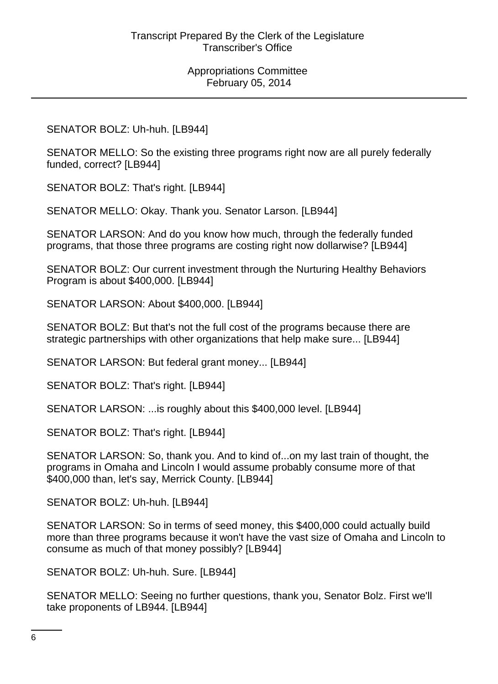#### SENATOR BOLZ: Uh-huh. [LB944]

SENATOR MELLO: So the existing three programs right now are all purely federally funded, correct? [LB944]

SENATOR BOLZ: That's right. [LB944]

SENATOR MELLO: Okay. Thank you. Senator Larson. [LB944]

SENATOR LARSON: And do you know how much, through the federally funded programs, that those three programs are costing right now dollarwise? [LB944]

SENATOR BOLZ: Our current investment through the Nurturing Healthy Behaviors Program is about \$400,000. [LB944]

SENATOR LARSON: About \$400,000. [LB944]

SENATOR BOLZ: But that's not the full cost of the programs because there are strategic partnerships with other organizations that help make sure... [LB944]

SENATOR LARSON: But federal grant money... [LB944]

SENATOR BOLZ: That's right. [LB944]

SENATOR LARSON: ...is roughly about this \$400,000 level. [LB944]

SENATOR BOLZ: That's right. [LB944]

SENATOR LARSON: So, thank you. And to kind of...on my last train of thought, the programs in Omaha and Lincoln I would assume probably consume more of that \$400,000 than, let's say, Merrick County. [LB944]

SENATOR BOLZ: Uh-huh. [LB944]

SENATOR LARSON: So in terms of seed money, this \$400,000 could actually build more than three programs because it won't have the vast size of Omaha and Lincoln to consume as much of that money possibly? [LB944]

SENATOR BOLZ: Uh-huh. Sure. [LB944]

SENATOR MELLO: Seeing no further questions, thank you, Senator Bolz. First we'll take proponents of LB944. [LB944]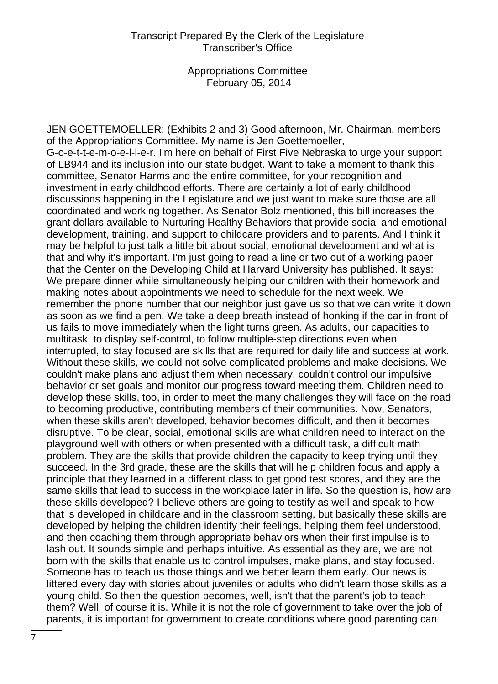JEN GOETTEMOELLER: (Exhibits 2 and 3) Good afternoon, Mr. Chairman, members of the Appropriations Committee. My name is Jen Goettemoeller, G-o-e-t-t-e-m-o-e-l-l-e-r. I'm here on behalf of First Five Nebraska to urge your support of LB944 and its inclusion into our state budget. Want to take a moment to thank this committee, Senator Harms and the entire committee, for your recognition and investment in early childhood efforts. There are certainly a lot of early childhood discussions happening in the Legislature and we just want to make sure those are all coordinated and working together. As Senator Bolz mentioned, this bill increases the grant dollars available to Nurturing Healthy Behaviors that provide social and emotional development, training, and support to childcare providers and to parents. And I think it may be helpful to just talk a little bit about social, emotional development and what is that and why it's important. I'm just going to read a line or two out of a working paper that the Center on the Developing Child at Harvard University has published. It says: We prepare dinner while simultaneously helping our children with their homework and making notes about appointments we need to schedule for the next week. We remember the phone number that our neighbor just gave us so that we can write it down as soon as we find a pen. We take a deep breath instead of honking if the car in front of us fails to move immediately when the light turns green. As adults, our capacities to multitask, to display self-control, to follow multiple-step directions even when interrupted, to stay focused are skills that are required for daily life and success at work. Without these skills, we could not solve complicated problems and make decisions. We couldn't make plans and adjust them when necessary, couldn't control our impulsive behavior or set goals and monitor our progress toward meeting them. Children need to develop these skills, too, in order to meet the many challenges they will face on the road to becoming productive, contributing members of their communities. Now, Senators, when these skills aren't developed, behavior becomes difficult, and then it becomes disruptive. To be clear, social, emotional skills are what children need to interact on the playground well with others or when presented with a difficult task, a difficult math problem. They are the skills that provide children the capacity to keep trying until they succeed. In the 3rd grade, these are the skills that will help children focus and apply a principle that they learned in a different class to get good test scores, and they are the same skills that lead to success in the workplace later in life. So the question is, how are these skills developed? I believe others are going to testify as well and speak to how that is developed in childcare and in the classroom setting, but basically these skills are developed by helping the children identify their feelings, helping them feel understood, and then coaching them through appropriate behaviors when their first impulse is to lash out. It sounds simple and perhaps intuitive. As essential as they are, we are not born with the skills that enable us to control impulses, make plans, and stay focused. Someone has to teach us those things and we better learn them early. Our news is littered every day with stories about juveniles or adults who didn't learn those skills as a young child. So then the question becomes, well, isn't that the parent's job to teach them? Well, of course it is. While it is not the role of government to take over the job of parents, it is important for government to create conditions where good parenting can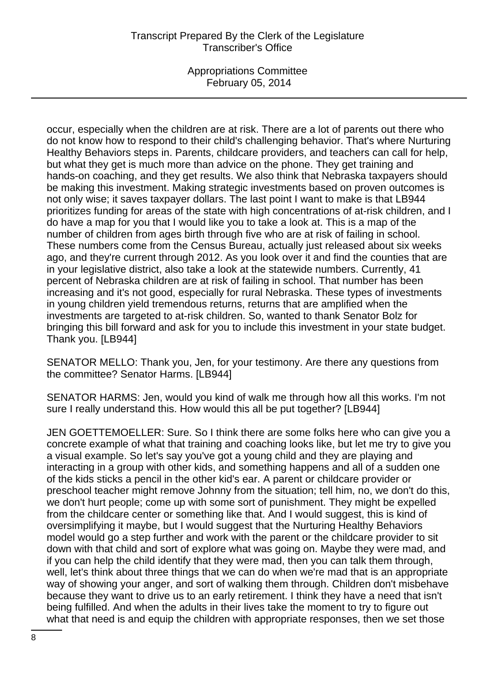Appropriations Committee February 05, 2014

occur, especially when the children are at risk. There are a lot of parents out there who do not know how to respond to their child's challenging behavior. That's where Nurturing Healthy Behaviors steps in. Parents, childcare providers, and teachers can call for help, but what they get is much more than advice on the phone. They get training and hands-on coaching, and they get results. We also think that Nebraska taxpayers should be making this investment. Making strategic investments based on proven outcomes is not only wise; it saves taxpayer dollars. The last point I want to make is that LB944 prioritizes funding for areas of the state with high concentrations of at-risk children, and I do have a map for you that I would like you to take a look at. This is a map of the number of children from ages birth through five who are at risk of failing in school. These numbers come from the Census Bureau, actually just released about six weeks ago, and they're current through 2012. As you look over it and find the counties that are in your legislative district, also take a look at the statewide numbers. Currently, 41 percent of Nebraska children are at risk of failing in school. That number has been increasing and it's not good, especially for rural Nebraska. These types of investments in young children yield tremendous returns, returns that are amplified when the investments are targeted to at-risk children. So, wanted to thank Senator Bolz for bringing this bill forward and ask for you to include this investment in your state budget. Thank you. [LB944]

SENATOR MELLO: Thank you, Jen, for your testimony. Are there any questions from the committee? Senator Harms. [LB944]

SENATOR HARMS: Jen, would you kind of walk me through how all this works. I'm not sure I really understand this. How would this all be put together? [LB944]

JEN GOETTEMOELLER: Sure. So I think there are some folks here who can give you a concrete example of what that training and coaching looks like, but let me try to give you a visual example. So let's say you've got a young child and they are playing and interacting in a group with other kids, and something happens and all of a sudden one of the kids sticks a pencil in the other kid's ear. A parent or childcare provider or preschool teacher might remove Johnny from the situation; tell him, no, we don't do this, we don't hurt people; come up with some sort of punishment. They might be expelled from the childcare center or something like that. And I would suggest, this is kind of oversimplifying it maybe, but I would suggest that the Nurturing Healthy Behaviors model would go a step further and work with the parent or the childcare provider to sit down with that child and sort of explore what was going on. Maybe they were mad, and if you can help the child identify that they were mad, then you can talk them through, well, let's think about three things that we can do when we're mad that is an appropriate way of showing your anger, and sort of walking them through. Children don't misbehave because they want to drive us to an early retirement. I think they have a need that isn't being fulfilled. And when the adults in their lives take the moment to try to figure out what that need is and equip the children with appropriate responses, then we set those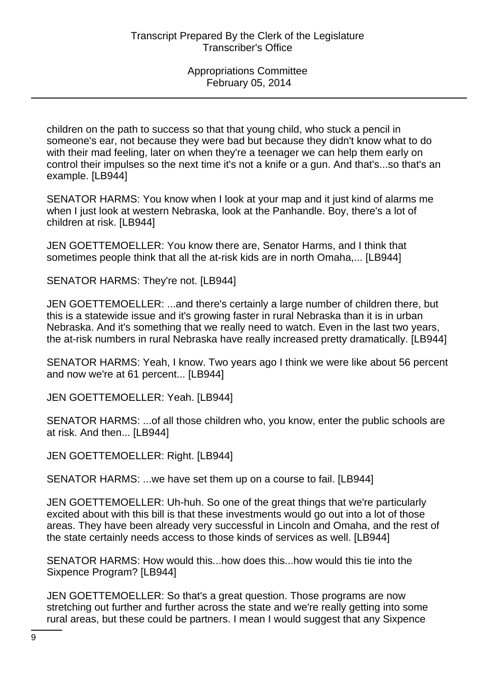children on the path to success so that that young child, who stuck a pencil in someone's ear, not because they were bad but because they didn't know what to do with their mad feeling, later on when they're a teenager we can help them early on control their impulses so the next time it's not a knife or a gun. And that's...so that's an example. [LB944]

SENATOR HARMS: You know when I look at your map and it just kind of alarms me when I just look at western Nebraska, look at the Panhandle. Boy, there's a lot of children at risk. [LB944]

JEN GOETTEMOELLER: You know there are, Senator Harms, and I think that sometimes people think that all the at-risk kids are in north Omaha,... [LB944]

SENATOR HARMS: They're not. [LB944]

JEN GOETTEMOELLER: ...and there's certainly a large number of children there, but this is a statewide issue and it's growing faster in rural Nebraska than it is in urban Nebraska. And it's something that we really need to watch. Even in the last two years, the at-risk numbers in rural Nebraska have really increased pretty dramatically. [LB944]

SENATOR HARMS: Yeah, I know. Two years ago I think we were like about 56 percent and now we're at 61 percent... [LB944]

JEN GOETTEMOELLER: Yeah. [LB944]

SENATOR HARMS: ...of all those children who, you know, enter the public schools are at risk. And then... [LB944]

JEN GOETTEMOELLER: Right. [LB944]

SENATOR HARMS: ...we have set them up on a course to fail. [LB944]

JEN GOETTEMOELLER: Uh-huh. So one of the great things that we're particularly excited about with this bill is that these investments would go out into a lot of those areas. They have been already very successful in Lincoln and Omaha, and the rest of the state certainly needs access to those kinds of services as well. [LB944]

SENATOR HARMS: How would this...how does this...how would this tie into the Sixpence Program? [LB944]

JEN GOETTEMOELLER: So that's a great question. Those programs are now stretching out further and further across the state and we're really getting into some rural areas, but these could be partners. I mean I would suggest that any Sixpence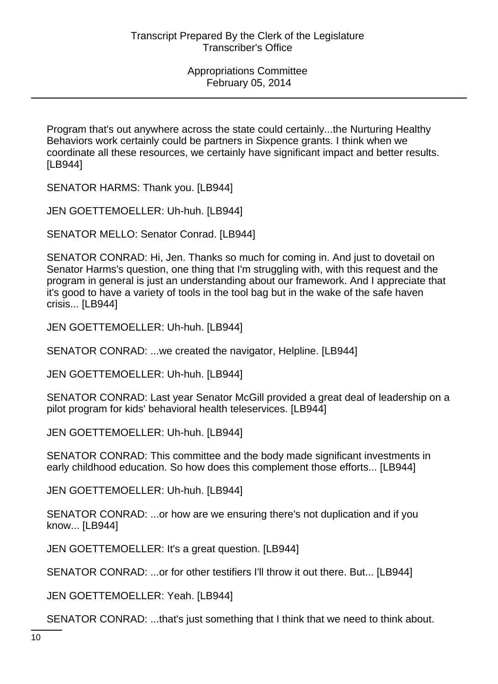Program that's out anywhere across the state could certainly...the Nurturing Healthy Behaviors work certainly could be partners in Sixpence grants. I think when we coordinate all these resources, we certainly have significant impact and better results. [LB944]

SENATOR HARMS: Thank you. [LB944]

JEN GOETTEMOELLER: Uh-huh. [LB944]

SENATOR MELLO: Senator Conrad. [LB944]

SENATOR CONRAD: Hi, Jen. Thanks so much for coming in. And just to dovetail on Senator Harms's question, one thing that I'm struggling with, with this request and the program in general is just an understanding about our framework. And I appreciate that it's good to have a variety of tools in the tool bag but in the wake of the safe haven crisis... [LB944]

JEN GOETTEMOELLER: Uh-huh. [LB944]

SENATOR CONRAD: ...we created the navigator, Helpline. [LB944]

JEN GOETTEMOELLER: Uh-huh. [LB944]

SENATOR CONRAD: Last year Senator McGill provided a great deal of leadership on a pilot program for kids' behavioral health teleservices. [LB944]

JEN GOETTEMOELLER: Uh-huh. [LB944]

SENATOR CONRAD: This committee and the body made significant investments in early childhood education. So how does this complement those efforts... [LB944]

JEN GOETTEMOELLER: Uh-huh. [LB944]

SENATOR CONRAD: ...or how are we ensuring there's not duplication and if you know... [LB944]

JEN GOETTEMOELLER: It's a great question. [LB944]

SENATOR CONRAD: ...or for other testifiers I'll throw it out there. But... [LB944]

JEN GOETTEMOELLER: Yeah. [LB944]

SENATOR CONRAD: ...that's just something that I think that we need to think about.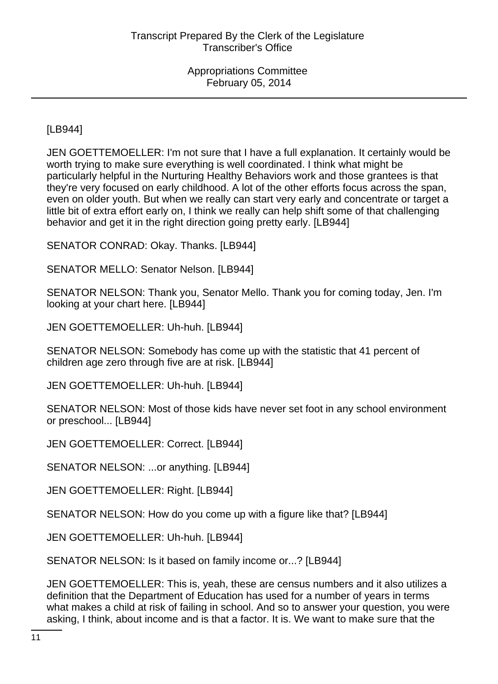[LB944]

JEN GOETTEMOELLER: I'm not sure that I have a full explanation. It certainly would be worth trying to make sure everything is well coordinated. I think what might be particularly helpful in the Nurturing Healthy Behaviors work and those grantees is that they're very focused on early childhood. A lot of the other efforts focus across the span, even on older youth. But when we really can start very early and concentrate or target a little bit of extra effort early on, I think we really can help shift some of that challenging behavior and get it in the right direction going pretty early. [LB944]

SENATOR CONRAD: Okay. Thanks. [LB944]

SENATOR MELLO: Senator Nelson. [LB944]

SENATOR NELSON: Thank you, Senator Mello. Thank you for coming today, Jen. I'm looking at your chart here. [LB944]

JEN GOETTEMOELLER: Uh-huh. [LB944]

SENATOR NELSON: Somebody has come up with the statistic that 41 percent of children age zero through five are at risk. [LB944]

JEN GOETTEMOELLER: Uh-huh. [LB944]

SENATOR NELSON: Most of those kids have never set foot in any school environment or preschool... [LB944]

JEN GOETTEMOELLER: Correct. [LB944]

SENATOR NELSON: ...or anything. [LB944]

JEN GOETTEMOELLER: Right. [LB944]

SENATOR NELSON: How do you come up with a figure like that? [LB944]

JEN GOETTEMOELLER: Uh-huh. [LB944]

SENATOR NELSON: Is it based on family income or...? [LB944]

JEN GOETTEMOELLER: This is, yeah, these are census numbers and it also utilizes a definition that the Department of Education has used for a number of years in terms what makes a child at risk of failing in school. And so to answer your question, you were asking, I think, about income and is that a factor. It is. We want to make sure that the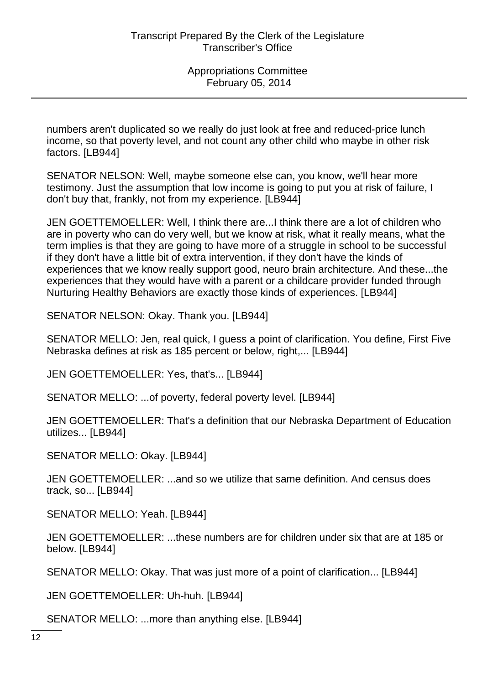numbers aren't duplicated so we really do just look at free and reduced-price lunch income, so that poverty level, and not count any other child who maybe in other risk factors. [LB944]

SENATOR NELSON: Well, maybe someone else can, you know, we'll hear more testimony. Just the assumption that low income is going to put you at risk of failure, I don't buy that, frankly, not from my experience. [LB944]

JEN GOETTEMOELLER: Well, I think there are...I think there are a lot of children who are in poverty who can do very well, but we know at risk, what it really means, what the term implies is that they are going to have more of a struggle in school to be successful if they don't have a little bit of extra intervention, if they don't have the kinds of experiences that we know really support good, neuro brain architecture. And these...the experiences that they would have with a parent or a childcare provider funded through Nurturing Healthy Behaviors are exactly those kinds of experiences. [LB944]

SENATOR NELSON: Okay. Thank you. [LB944]

SENATOR MELLO: Jen, real quick, I guess a point of clarification. You define, First Five Nebraska defines at risk as 185 percent or below, right,... [LB944]

JEN GOETTEMOELLER: Yes, that's... [LB944]

SENATOR MELLO: ...of poverty, federal poverty level. [LB944]

JEN GOETTEMOELLER: That's a definition that our Nebraska Department of Education utilizes... [LB944]

SENATOR MELLO: Okay. [LB944]

JEN GOETTEMOELLER: ...and so we utilize that same definition. And census does track, so... [LB944]

SENATOR MELLO: Yeah. [LB944]

JEN GOETTEMOELLER: ...these numbers are for children under six that are at 185 or below. [LB944]

SENATOR MELLO: Okay. That was just more of a point of clarification... [LB944]

JEN GOETTEMOELLER: Uh-huh. [LB944]

SENATOR MELLO: ...more than anything else. [LB944]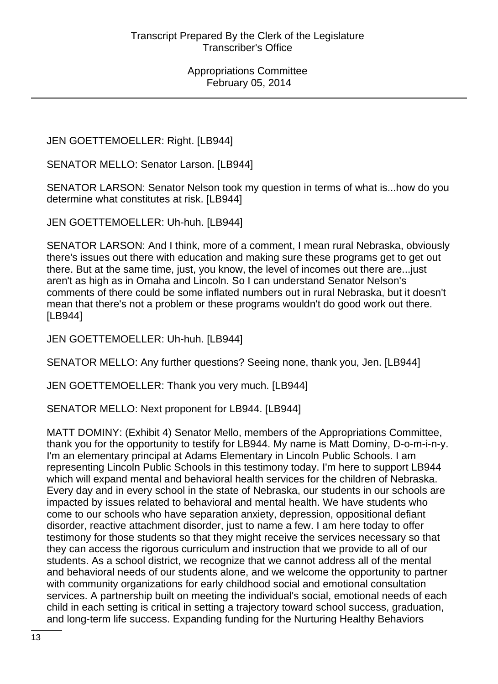JEN GOETTEMOELLER: Right. [LB944]

SENATOR MELLO: Senator Larson. [LB944]

SENATOR LARSON: Senator Nelson took my question in terms of what is...how do you determine what constitutes at risk. [LB944]

JEN GOETTEMOELLER: Uh-huh. [LB944]

SENATOR LARSON: And I think, more of a comment, I mean rural Nebraska, obviously there's issues out there with education and making sure these programs get to get out there. But at the same time, just, you know, the level of incomes out there are...just aren't as high as in Omaha and Lincoln. So I can understand Senator Nelson's comments of there could be some inflated numbers out in rural Nebraska, but it doesn't mean that there's not a problem or these programs wouldn't do good work out there. [LB944]

JEN GOETTEMOELLER: Uh-huh. [LB944]

SENATOR MELLO: Any further questions? Seeing none, thank you, Jen. [LB944]

JEN GOETTEMOELLER: Thank you very much. [LB944]

SENATOR MELLO: Next proponent for LB944. [LB944]

MATT DOMINY: (Exhibit 4) Senator Mello, members of the Appropriations Committee, thank you for the opportunity to testify for LB944. My name is Matt Dominy, D-o-m-i-n-y. I'm an elementary principal at Adams Elementary in Lincoln Public Schools. I am representing Lincoln Public Schools in this testimony today. I'm here to support LB944 which will expand mental and behavioral health services for the children of Nebraska. Every day and in every school in the state of Nebraska, our students in our schools are impacted by issues related to behavioral and mental health. We have students who come to our schools who have separation anxiety, depression, oppositional defiant disorder, reactive attachment disorder, just to name a few. I am here today to offer testimony for those students so that they might receive the services necessary so that they can access the rigorous curriculum and instruction that we provide to all of our students. As a school district, we recognize that we cannot address all of the mental and behavioral needs of our students alone, and we welcome the opportunity to partner with community organizations for early childhood social and emotional consultation services. A partnership built on meeting the individual's social, emotional needs of each child in each setting is critical in setting a trajectory toward school success, graduation, and long-term life success. Expanding funding for the Nurturing Healthy Behaviors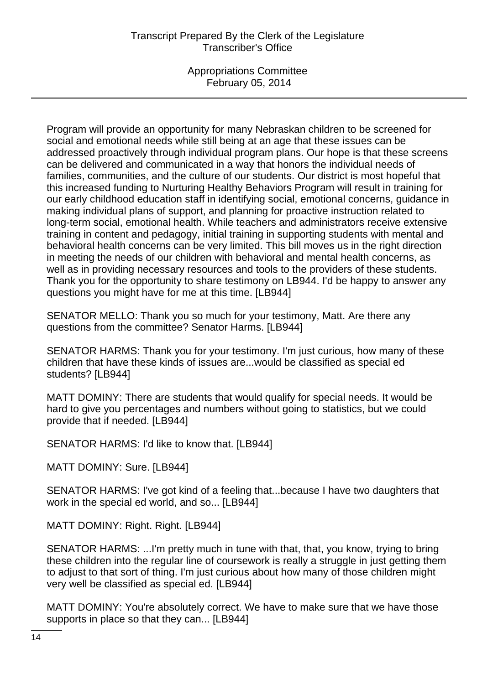Appropriations Committee February 05, 2014

Program will provide an opportunity for many Nebraskan children to be screened for social and emotional needs while still being at an age that these issues can be addressed proactively through individual program plans. Our hope is that these screens can be delivered and communicated in a way that honors the individual needs of families, communities, and the culture of our students. Our district is most hopeful that this increased funding to Nurturing Healthy Behaviors Program will result in training for our early childhood education staff in identifying social, emotional concerns, guidance in making individual plans of support, and planning for proactive instruction related to long-term social, emotional health. While teachers and administrators receive extensive training in content and pedagogy, initial training in supporting students with mental and behavioral health concerns can be very limited. This bill moves us in the right direction in meeting the needs of our children with behavioral and mental health concerns, as well as in providing necessary resources and tools to the providers of these students. Thank you for the opportunity to share testimony on LB944. I'd be happy to answer any questions you might have for me at this time. [LB944]

SENATOR MELLO: Thank you so much for your testimony, Matt. Are there any questions from the committee? Senator Harms. [LB944]

SENATOR HARMS: Thank you for your testimony. I'm just curious, how many of these children that have these kinds of issues are...would be classified as special ed students? [LB944]

MATT DOMINY: There are students that would qualify for special needs. It would be hard to give you percentages and numbers without going to statistics, but we could provide that if needed. [LB944]

SENATOR HARMS: I'd like to know that. [LB944]

MATT DOMINY: Sure. [LB944]

SENATOR HARMS: I've got kind of a feeling that...because I have two daughters that work in the special ed world, and so... [LB944]

MATT DOMINY: Right. Right. [LB944]

SENATOR HARMS: ...I'm pretty much in tune with that, that, you know, trying to bring these children into the regular line of coursework is really a struggle in just getting them to adjust to that sort of thing. I'm just curious about how many of those children might very well be classified as special ed. [LB944]

MATT DOMINY: You're absolutely correct. We have to make sure that we have those supports in place so that they can... [LB944]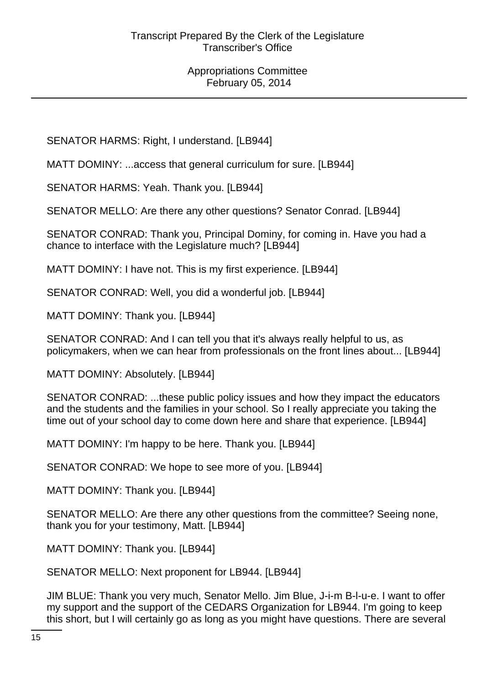SENATOR HARMS: Right, I understand. [LB944]

MATT DOMINY: ...access that general curriculum for sure. [LB944]

SENATOR HARMS: Yeah. Thank you. [LB944]

SENATOR MELLO: Are there any other questions? Senator Conrad. [LB944]

SENATOR CONRAD: Thank you, Principal Dominy, for coming in. Have you had a chance to interface with the Legislature much? [LB944]

MATT DOMINY: I have not. This is my first experience. [LB944]

SENATOR CONRAD: Well, you did a wonderful job. [LB944]

MATT DOMINY: Thank you. [LB944]

SENATOR CONRAD: And I can tell you that it's always really helpful to us, as policymakers, when we can hear from professionals on the front lines about... [LB944]

MATT DOMINY: Absolutely. [LB944]

SENATOR CONRAD: ...these public policy issues and how they impact the educators and the students and the families in your school. So I really appreciate you taking the time out of your school day to come down here and share that experience. [LB944]

MATT DOMINY: I'm happy to be here. Thank you. [LB944]

SENATOR CONRAD: We hope to see more of you. [LB944]

MATT DOMINY: Thank you. [LB944]

SENATOR MELLO: Are there any other questions from the committee? Seeing none, thank you for your testimony, Matt. [LB944]

MATT DOMINY: Thank you. [LB944]

SENATOR MELLO: Next proponent for LB944. [LB944]

JIM BLUE: Thank you very much, Senator Mello. Jim Blue, J-i-m B-l-u-e. I want to offer my support and the support of the CEDARS Organization for LB944. I'm going to keep this short, but I will certainly go as long as you might have questions. There are several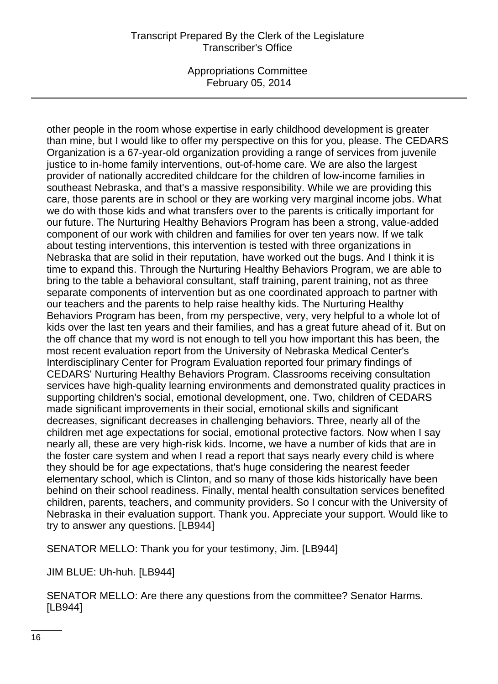Appropriations Committee February 05, 2014

other people in the room whose expertise in early childhood development is greater than mine, but I would like to offer my perspective on this for you, please. The CEDARS Organization is a 67-year-old organization providing a range of services from juvenile justice to in-home family interventions, out-of-home care. We are also the largest provider of nationally accredited childcare for the children of low-income families in southeast Nebraska, and that's a massive responsibility. While we are providing this care, those parents are in school or they are working very marginal income jobs. What we do with those kids and what transfers over to the parents is critically important for our future. The Nurturing Healthy Behaviors Program has been a strong, value-added component of our work with children and families for over ten years now. If we talk about testing interventions, this intervention is tested with three organizations in Nebraska that are solid in their reputation, have worked out the bugs. And I think it is time to expand this. Through the Nurturing Healthy Behaviors Program, we are able to bring to the table a behavioral consultant, staff training, parent training, not as three separate components of intervention but as one coordinated approach to partner with our teachers and the parents to help raise healthy kids. The Nurturing Healthy Behaviors Program has been, from my perspective, very, very helpful to a whole lot of kids over the last ten years and their families, and has a great future ahead of it. But on the off chance that my word is not enough to tell you how important this has been, the most recent evaluation report from the University of Nebraska Medical Center's Interdisciplinary Center for Program Evaluation reported four primary findings of CEDARS' Nurturing Healthy Behaviors Program. Classrooms receiving consultation services have high-quality learning environments and demonstrated quality practices in supporting children's social, emotional development, one. Two, children of CEDARS made significant improvements in their social, emotional skills and significant decreases, significant decreases in challenging behaviors. Three, nearly all of the children met age expectations for social, emotional protective factors. Now when I say nearly all, these are very high-risk kids. Income, we have a number of kids that are in the foster care system and when I read a report that says nearly every child is where they should be for age expectations, that's huge considering the nearest feeder elementary school, which is Clinton, and so many of those kids historically have been behind on their school readiness. Finally, mental health consultation services benefited children, parents, teachers, and community providers. So I concur with the University of Nebraska in their evaluation support. Thank you. Appreciate your support. Would like to try to answer any questions. [LB944]

SENATOR MELLO: Thank you for your testimony, Jim. [LB944]

JIM BLUE: Uh-huh. [LB944]

SENATOR MELLO: Are there any questions from the committee? Senator Harms. [LB944]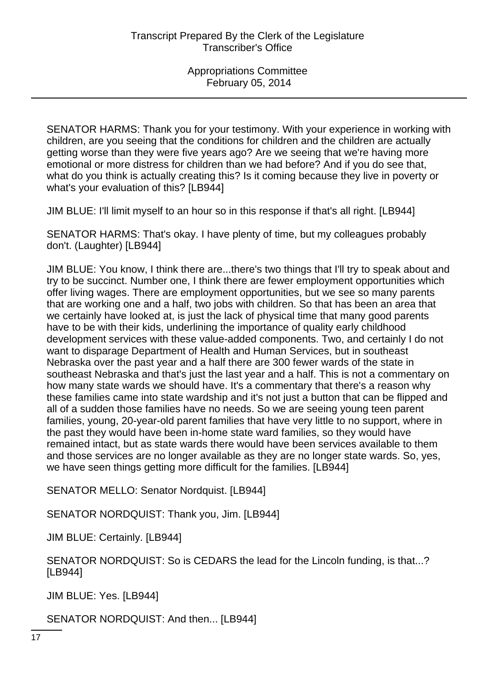SENATOR HARMS: Thank you for your testimony. With your experience in working with children, are you seeing that the conditions for children and the children are actually getting worse than they were five years ago? Are we seeing that we're having more emotional or more distress for children than we had before? And if you do see that, what do you think is actually creating this? Is it coming because they live in poverty or what's your evaluation of this? [LB944]

JIM BLUE: I'll limit myself to an hour so in this response if that's all right. [LB944]

SENATOR HARMS: That's okay. I have plenty of time, but my colleagues probably don't. (Laughter) [LB944]

JIM BLUE: You know, I think there are...there's two things that I'll try to speak about and try to be succinct. Number one, I think there are fewer employment opportunities which offer living wages. There are employment opportunities, but we see so many parents that are working one and a half, two jobs with children. So that has been an area that we certainly have looked at, is just the lack of physical time that many good parents have to be with their kids, underlining the importance of quality early childhood development services with these value-added components. Two, and certainly I do not want to disparage Department of Health and Human Services, but in southeast Nebraska over the past year and a half there are 300 fewer wards of the state in southeast Nebraska and that's just the last year and a half. This is not a commentary on how many state wards we should have. It's a commentary that there's a reason why these families came into state wardship and it's not just a button that can be flipped and all of a sudden those families have no needs. So we are seeing young teen parent families, young, 20-year-old parent families that have very little to no support, where in the past they would have been in-home state ward families, so they would have remained intact, but as state wards there would have been services available to them and those services are no longer available as they are no longer state wards. So, yes, we have seen things getting more difficult for the families. [LB944]

SENATOR MELLO: Senator Nordquist. [LB944]

SENATOR NORDQUIST: Thank you, Jim. [LB944]

JIM BLUE: Certainly. [LB944]

SENATOR NORDQUIST: So is CEDARS the lead for the Lincoln funding, is that...? [LB944]

JIM BLUE: Yes. [LB944]

SENATOR NORDQUIST: And then... [LB944]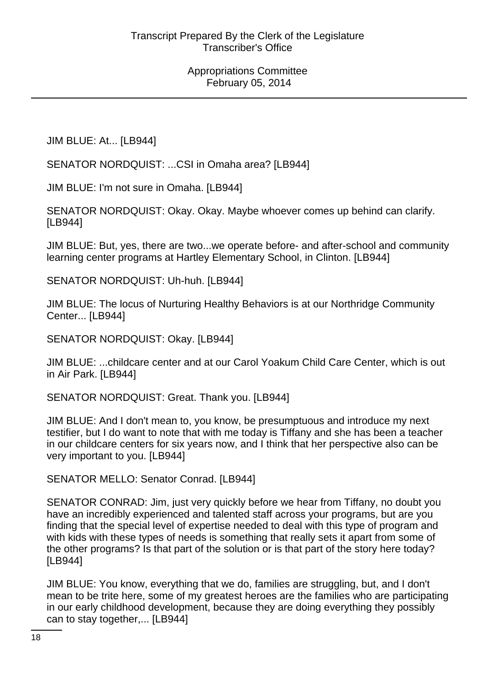JIM BLUE: At... [LB944]

SENATOR NORDQUIST: ...CSI in Omaha area? [LB944]

JIM BLUE: I'm not sure in Omaha. [LB944]

SENATOR NORDQUIST: Okay. Okay. Maybe whoever comes up behind can clarify. [LB944]

JIM BLUE: But, yes, there are two...we operate before- and after-school and community learning center programs at Hartley Elementary School, in Clinton. [LB944]

SENATOR NORDQUIST: Uh-huh. [LB944]

JIM BLUE: The locus of Nurturing Healthy Behaviors is at our Northridge Community Center... [LB944]

SENATOR NORDQUIST: Okay. [LB944]

JIM BLUE: ...childcare center and at our Carol Yoakum Child Care Center, which is out in Air Park. [LB944]

SENATOR NORDQUIST: Great. Thank you. [LB944]

JIM BLUE: And I don't mean to, you know, be presumptuous and introduce my next testifier, but I do want to note that with me today is Tiffany and she has been a teacher in our childcare centers for six years now, and I think that her perspective also can be very important to you. [LB944]

SENATOR MELLO: Senator Conrad. [LB944]

SENATOR CONRAD: Jim, just very quickly before we hear from Tiffany, no doubt you have an incredibly experienced and talented staff across your programs, but are you finding that the special level of expertise needed to deal with this type of program and with kids with these types of needs is something that really sets it apart from some of the other programs? Is that part of the solution or is that part of the story here today? [LB944]

JIM BLUE: You know, everything that we do, families are struggling, but, and I don't mean to be trite here, some of my greatest heroes are the families who are participating in our early childhood development, because they are doing everything they possibly can to stay together,... [LB944]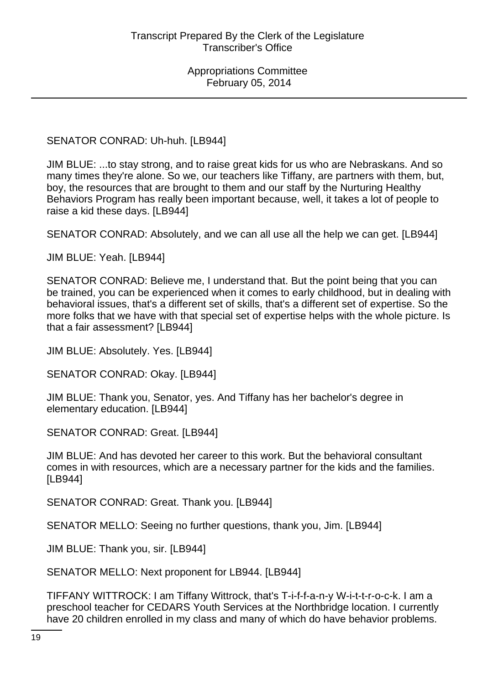SENATOR CONRAD: Uh-huh. [LB944]

JIM BLUE: ...to stay strong, and to raise great kids for us who are Nebraskans. And so many times they're alone. So we, our teachers like Tiffany, are partners with them, but, boy, the resources that are brought to them and our staff by the Nurturing Healthy Behaviors Program has really been important because, well, it takes a lot of people to raise a kid these days. [LB944]

SENATOR CONRAD: Absolutely, and we can all use all the help we can get. [LB944]

JIM BLUE: Yeah. [LB944]

SENATOR CONRAD: Believe me, I understand that. But the point being that you can be trained, you can be experienced when it comes to early childhood, but in dealing with behavioral issues, that's a different set of skills, that's a different set of expertise. So the more folks that we have with that special set of expertise helps with the whole picture. Is that a fair assessment? [LB944]

JIM BLUE: Absolutely. Yes. [LB944]

SENATOR CONRAD: Okay. [LB944]

JIM BLUE: Thank you, Senator, yes. And Tiffany has her bachelor's degree in elementary education. [LB944]

SENATOR CONRAD: Great. [LB944]

JIM BLUE: And has devoted her career to this work. But the behavioral consultant comes in with resources, which are a necessary partner for the kids and the families. [LB944]

SENATOR CONRAD: Great. Thank you. [LB944]

SENATOR MELLO: Seeing no further questions, thank you, Jim. [LB944]

JIM BLUE: Thank you, sir. [LB944]

SENATOR MELLO: Next proponent for LB944. [LB944]

TIFFANY WITTROCK: I am Tiffany Wittrock, that's T-i-f-f-a-n-y W-i-t-t-r-o-c-k. I am a preschool teacher for CEDARS Youth Services at the Northbridge location. I currently have 20 children enrolled in my class and many of which do have behavior problems.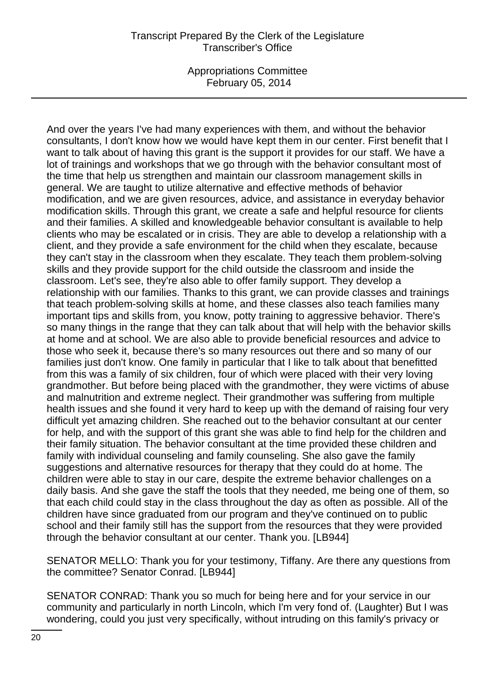Appropriations Committee February 05, 2014

And over the years I've had many experiences with them, and without the behavior consultants, I don't know how we would have kept them in our center. First benefit that I want to talk about of having this grant is the support it provides for our staff. We have a lot of trainings and workshops that we go through with the behavior consultant most of the time that help us strengthen and maintain our classroom management skills in general. We are taught to utilize alternative and effective methods of behavior modification, and we are given resources, advice, and assistance in everyday behavior modification skills. Through this grant, we create a safe and helpful resource for clients and their families. A skilled and knowledgeable behavior consultant is available to help clients who may be escalated or in crisis. They are able to develop a relationship with a client, and they provide a safe environment for the child when they escalate, because they can't stay in the classroom when they escalate. They teach them problem-solving skills and they provide support for the child outside the classroom and inside the classroom. Let's see, they're also able to offer family support. They develop a relationship with our families. Thanks to this grant, we can provide classes and trainings that teach problem-solving skills at home, and these classes also teach families many important tips and skills from, you know, potty training to aggressive behavior. There's so many things in the range that they can talk about that will help with the behavior skills at home and at school. We are also able to provide beneficial resources and advice to those who seek it, because there's so many resources out there and so many of our families just don't know. One family in particular that I like to talk about that benefitted from this was a family of six children, four of which were placed with their very loving grandmother. But before being placed with the grandmother, they were victims of abuse and malnutrition and extreme neglect. Their grandmother was suffering from multiple health issues and she found it very hard to keep up with the demand of raising four very difficult yet amazing children. She reached out to the behavior consultant at our center for help, and with the support of this grant she was able to find help for the children and their family situation. The behavior consultant at the time provided these children and family with individual counseling and family counseling. She also gave the family suggestions and alternative resources for therapy that they could do at home. The children were able to stay in our care, despite the extreme behavior challenges on a daily basis. And she gave the staff the tools that they needed, me being one of them, so that each child could stay in the class throughout the day as often as possible. All of the children have since graduated from our program and they've continued on to public school and their family still has the support from the resources that they were provided through the behavior consultant at our center. Thank you. [LB944]

SENATOR MELLO: Thank you for your testimony, Tiffany. Are there any questions from the committee? Senator Conrad. [LB944]

SENATOR CONRAD: Thank you so much for being here and for your service in our community and particularly in north Lincoln, which I'm very fond of. (Laughter) But I was wondering, could you just very specifically, without intruding on this family's privacy or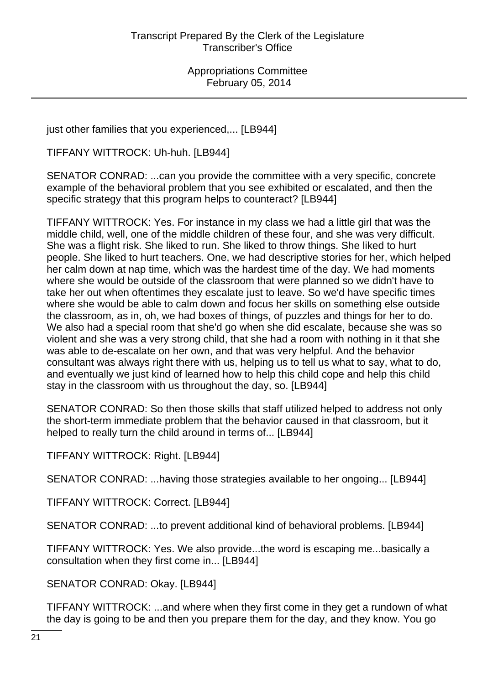just other families that you experienced,... [LB944]

TIFFANY WITTROCK: Uh-huh. [LB944]

SENATOR CONRAD: ...can you provide the committee with a very specific, concrete example of the behavioral problem that you see exhibited or escalated, and then the specific strategy that this program helps to counteract? [LB944]

TIFFANY WITTROCK: Yes. For instance in my class we had a little girl that was the middle child, well, one of the middle children of these four, and she was very difficult. She was a flight risk. She liked to run. She liked to throw things. She liked to hurt people. She liked to hurt teachers. One, we had descriptive stories for her, which helped her calm down at nap time, which was the hardest time of the day. We had moments where she would be outside of the classroom that were planned so we didn't have to take her out when oftentimes they escalate just to leave. So we'd have specific times where she would be able to calm down and focus her skills on something else outside the classroom, as in, oh, we had boxes of things, of puzzles and things for her to do. We also had a special room that she'd go when she did escalate, because she was so violent and she was a very strong child, that she had a room with nothing in it that she was able to de-escalate on her own, and that was very helpful. And the behavior consultant was always right there with us, helping us to tell us what to say, what to do, and eventually we just kind of learned how to help this child cope and help this child stay in the classroom with us throughout the day, so. [LB944]

SENATOR CONRAD: So then those skills that staff utilized helped to address not only the short-term immediate problem that the behavior caused in that classroom, but it helped to really turn the child around in terms of... [LB944]

TIFFANY WITTROCK: Right. [LB944]

SENATOR CONRAD: ...having those strategies available to her ongoing... [LB944]

TIFFANY WITTROCK: Correct. [LB944]

SENATOR CONRAD: ...to prevent additional kind of behavioral problems. [LB944]

TIFFANY WITTROCK: Yes. We also provide...the word is escaping me...basically a consultation when they first come in... [LB944]

SENATOR CONRAD: Okay. [LB944]

TIFFANY WITTROCK: ...and where when they first come in they get a rundown of what the day is going to be and then you prepare them for the day, and they know. You go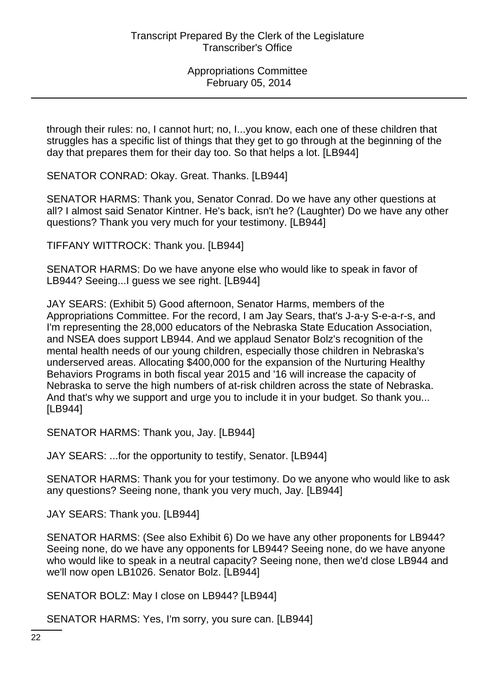through their rules: no, I cannot hurt; no, I...you know, each one of these children that struggles has a specific list of things that they get to go through at the beginning of the day that prepares them for their day too. So that helps a lot. [LB944]

SENATOR CONRAD: Okay. Great. Thanks. [LB944]

SENATOR HARMS: Thank you, Senator Conrad. Do we have any other questions at all? I almost said Senator Kintner. He's back, isn't he? (Laughter) Do we have any other questions? Thank you very much for your testimony. [LB944]

TIFFANY WITTROCK: Thank you. [LB944]

SENATOR HARMS: Do we have anyone else who would like to speak in favor of LB944? Seeing...I guess we see right. [LB944]

JAY SEARS: (Exhibit 5) Good afternoon, Senator Harms, members of the Appropriations Committee. For the record, I am Jay Sears, that's J-a-y S-e-a-r-s, and I'm representing the 28,000 educators of the Nebraska State Education Association, and NSEA does support LB944. And we applaud Senator Bolz's recognition of the mental health needs of our young children, especially those children in Nebraska's underserved areas. Allocating \$400,000 for the expansion of the Nurturing Healthy Behaviors Programs in both fiscal year 2015 and '16 will increase the capacity of Nebraska to serve the high numbers of at-risk children across the state of Nebraska. And that's why we support and urge you to include it in your budget. So thank you... [LB944]

SENATOR HARMS: Thank you, Jay. [LB944]

JAY SEARS: ...for the opportunity to testify, Senator. [LB944]

SENATOR HARMS: Thank you for your testimony. Do we anyone who would like to ask any questions? Seeing none, thank you very much, Jay. [LB944]

JAY SEARS: Thank you. [LB944]

SENATOR HARMS: (See also Exhibit 6) Do we have any other proponents for LB944? Seeing none, do we have any opponents for LB944? Seeing none, do we have anyone who would like to speak in a neutral capacity? Seeing none, then we'd close LB944 and we'll now open LB1026. Senator Bolz. [LB944]

SENATOR BOLZ: May I close on LB944? [LB944]

SENATOR HARMS: Yes, I'm sorry, you sure can. [LB944]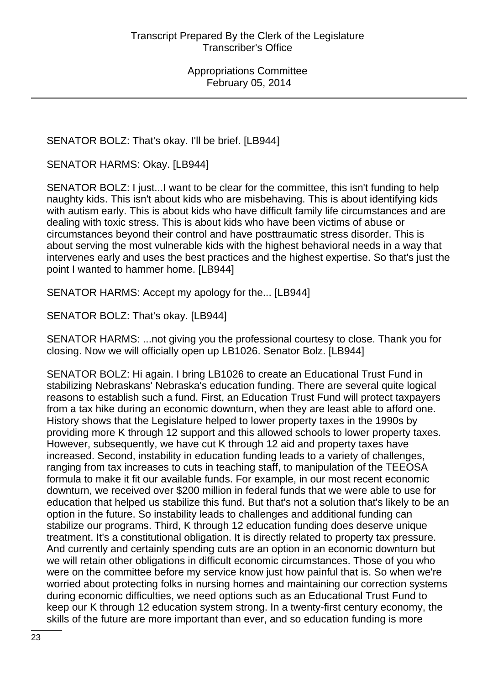SENATOR BOLZ: That's okay. I'll be brief. [LB944]

SENATOR HARMS: Okay. [LB944]

SENATOR BOLZ: I just...I want to be clear for the committee, this isn't funding to help naughty kids. This isn't about kids who are misbehaving. This is about identifying kids with autism early. This is about kids who have difficult family life circumstances and are dealing with toxic stress. This is about kids who have been victims of abuse or circumstances beyond their control and have posttraumatic stress disorder. This is about serving the most vulnerable kids with the highest behavioral needs in a way that intervenes early and uses the best practices and the highest expertise. So that's just the point I wanted to hammer home. [LB944]

SENATOR HARMS: Accept my apology for the... [LB944]

SENATOR BOLZ: That's okay. [LB944]

SENATOR HARMS: ...not giving you the professional courtesy to close. Thank you for closing. Now we will officially open up LB1026. Senator Bolz. [LB944]

SENATOR BOLZ: Hi again. I bring LB1026 to create an Educational Trust Fund in stabilizing Nebraskans' Nebraska's education funding. There are several quite logical reasons to establish such a fund. First, an Education Trust Fund will protect taxpayers from a tax hike during an economic downturn, when they are least able to afford one. History shows that the Legislature helped to lower property taxes in the 1990s by providing more K through 12 support and this allowed schools to lower property taxes. However, subsequently, we have cut K through 12 aid and property taxes have increased. Second, instability in education funding leads to a variety of challenges, ranging from tax increases to cuts in teaching staff, to manipulation of the TEEOSA formula to make it fit our available funds. For example, in our most recent economic downturn, we received over \$200 million in federal funds that we were able to use for education that helped us stabilize this fund. But that's not a solution that's likely to be an option in the future. So instability leads to challenges and additional funding can stabilize our programs. Third, K through 12 education funding does deserve unique treatment. It's a constitutional obligation. It is directly related to property tax pressure. And currently and certainly spending cuts are an option in an economic downturn but we will retain other obligations in difficult economic circumstances. Those of you who were on the committee before my service know just how painful that is. So when we're worried about protecting folks in nursing homes and maintaining our correction systems during economic difficulties, we need options such as an Educational Trust Fund to keep our K through 12 education system strong. In a twenty-first century economy, the skills of the future are more important than ever, and so education funding is more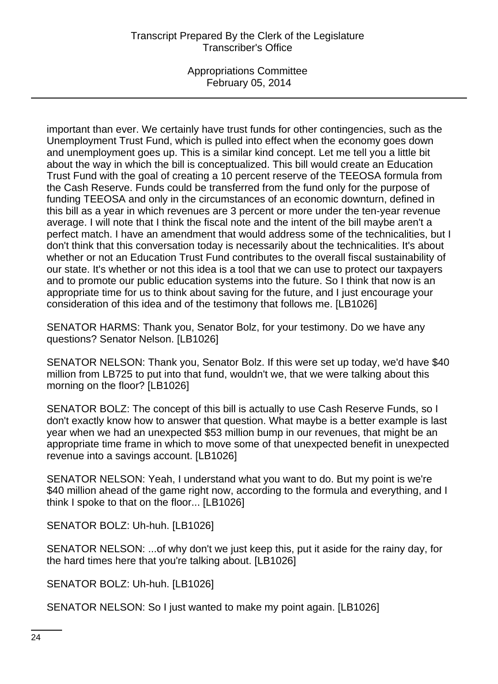Appropriations Committee February 05, 2014

important than ever. We certainly have trust funds for other contingencies, such as the Unemployment Trust Fund, which is pulled into effect when the economy goes down and unemployment goes up. This is a similar kind concept. Let me tell you a little bit about the way in which the bill is conceptualized. This bill would create an Education Trust Fund with the goal of creating a 10 percent reserve of the TEEOSA formula from the Cash Reserve. Funds could be transferred from the fund only for the purpose of funding TEEOSA and only in the circumstances of an economic downturn, defined in this bill as a year in which revenues are 3 percent or more under the ten-year revenue average. I will note that I think the fiscal note and the intent of the bill maybe aren't a perfect match. I have an amendment that would address some of the technicalities, but I don't think that this conversation today is necessarily about the technicalities. It's about whether or not an Education Trust Fund contributes to the overall fiscal sustainability of our state. It's whether or not this idea is a tool that we can use to protect our taxpayers and to promote our public education systems into the future. So I think that now is an appropriate time for us to think about saving for the future, and I just encourage your consideration of this idea and of the testimony that follows me. [LB1026]

SENATOR HARMS: Thank you, Senator Bolz, for your testimony. Do we have any questions? Senator Nelson. [LB1026]

SENATOR NELSON: Thank you, Senator Bolz. If this were set up today, we'd have \$40 million from LB725 to put into that fund, wouldn't we, that we were talking about this morning on the floor? [LB1026]

SENATOR BOLZ: The concept of this bill is actually to use Cash Reserve Funds, so I don't exactly know how to answer that question. What maybe is a better example is last year when we had an unexpected \$53 million bump in our revenues, that might be an appropriate time frame in which to move some of that unexpected benefit in unexpected revenue into a savings account. [LB1026]

SENATOR NELSON: Yeah, I understand what you want to do. But my point is we're \$40 million ahead of the game right now, according to the formula and everything, and I think I spoke to that on the floor... [LB1026]

SENATOR BOLZ: Uh-huh. [LB1026]

SENATOR NELSON: ...of why don't we just keep this, put it aside for the rainy day, for the hard times here that you're talking about. [LB1026]

SENATOR BOLZ: Uh-huh. [LB1026]

SENATOR NELSON: So I just wanted to make my point again. [LB1026]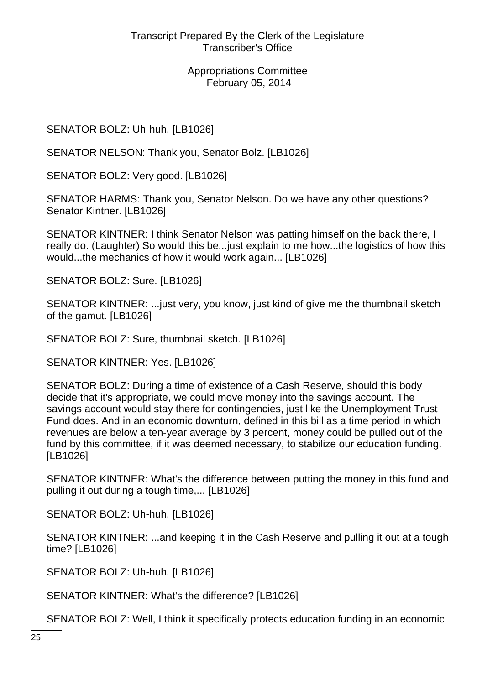SENATOR BOLZ: Uh-huh. [LB1026]

SENATOR NELSON: Thank you, Senator Bolz. [LB1026]

SENATOR BOLZ: Very good. [LB1026]

SENATOR HARMS: Thank you, Senator Nelson. Do we have any other questions? Senator Kintner. [LB1026]

SENATOR KINTNER: I think Senator Nelson was patting himself on the back there, I really do. (Laughter) So would this be...just explain to me how...the logistics of how this would...the mechanics of how it would work again... [LB1026]

SENATOR BOLZ: Sure. [LB1026]

SENATOR KINTNER: ...just very, you know, just kind of give me the thumbnail sketch of the gamut. [LB1026]

SENATOR BOLZ: Sure, thumbnail sketch. [LB1026]

SENATOR KINTNER: Yes. [LB1026]

SENATOR BOLZ: During a time of existence of a Cash Reserve, should this body decide that it's appropriate, we could move money into the savings account. The savings account would stay there for contingencies, just like the Unemployment Trust Fund does. And in an economic downturn, defined in this bill as a time period in which revenues are below a ten-year average by 3 percent, money could be pulled out of the fund by this committee, if it was deemed necessary, to stabilize our education funding. [LB1026]

SENATOR KINTNER: What's the difference between putting the money in this fund and pulling it out during a tough time,... [LB1026]

SENATOR BOLZ: Uh-huh. [LB1026]

SENATOR KINTNER: ...and keeping it in the Cash Reserve and pulling it out at a tough time? [LB1026]

SENATOR BOLZ: Uh-huh. [LB1026]

SENATOR KINTNER: What's the difference? [LB1026]

SENATOR BOLZ: Well, I think it specifically protects education funding in an economic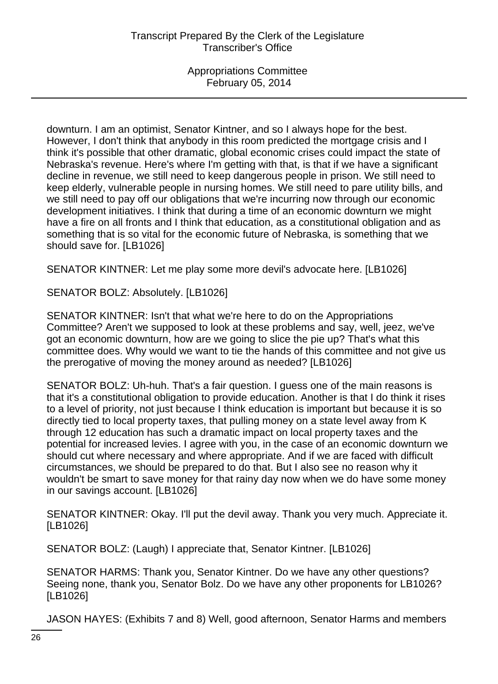downturn. I am an optimist, Senator Kintner, and so I always hope for the best. However, I don't think that anybody in this room predicted the mortgage crisis and I think it's possible that other dramatic, global economic crises could impact the state of Nebraska's revenue. Here's where I'm getting with that, is that if we have a significant decline in revenue, we still need to keep dangerous people in prison. We still need to keep elderly, vulnerable people in nursing homes. We still need to pare utility bills, and we still need to pay off our obligations that we're incurring now through our economic development initiatives. I think that during a time of an economic downturn we might have a fire on all fronts and I think that education, as a constitutional obligation and as something that is so vital for the economic future of Nebraska, is something that we should save for. [LB1026]

SENATOR KINTNER: Let me play some more devil's advocate here. [LB1026]

SENATOR BOLZ: Absolutely. [LB1026]

SENATOR KINTNER: Isn't that what we're here to do on the Appropriations Committee? Aren't we supposed to look at these problems and say, well, jeez, we've got an economic downturn, how are we going to slice the pie up? That's what this committee does. Why would we want to tie the hands of this committee and not give us the prerogative of moving the money around as needed? [LB1026]

SENATOR BOLZ: Uh-huh. That's a fair question. I guess one of the main reasons is that it's a constitutional obligation to provide education. Another is that I do think it rises to a level of priority, not just because I think education is important but because it is so directly tied to local property taxes, that pulling money on a state level away from K through 12 education has such a dramatic impact on local property taxes and the potential for increased levies. I agree with you, in the case of an economic downturn we should cut where necessary and where appropriate. And if we are faced with difficult circumstances, we should be prepared to do that. But I also see no reason why it wouldn't be smart to save money for that rainy day now when we do have some money in our savings account. [LB1026]

SENATOR KINTNER: Okay. I'll put the devil away. Thank you very much. Appreciate it. [LB1026]

SENATOR BOLZ: (Laugh) I appreciate that, Senator Kintner. [LB1026]

SENATOR HARMS: Thank you, Senator Kintner. Do we have any other questions? Seeing none, thank you, Senator Bolz. Do we have any other proponents for LB1026? [LB1026]

JASON HAYES: (Exhibits 7 and 8) Well, good afternoon, Senator Harms and members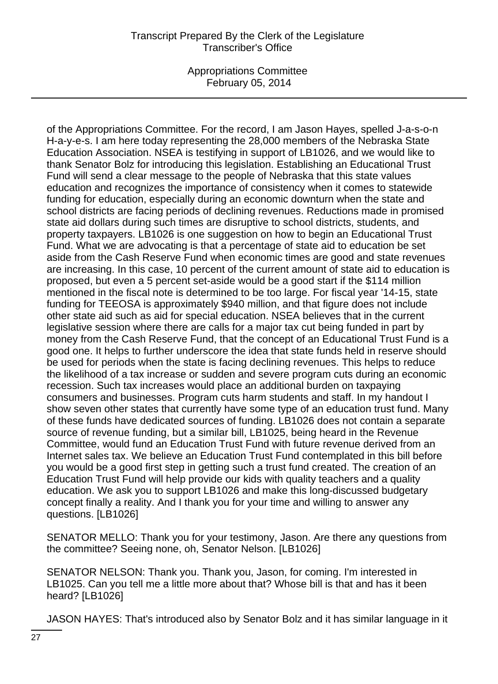Appropriations Committee February 05, 2014

of the Appropriations Committee. For the record, I am Jason Hayes, spelled J-a-s-o-n H-a-y-e-s. I am here today representing the 28,000 members of the Nebraska State Education Association. NSEA is testifying in support of LB1026, and we would like to thank Senator Bolz for introducing this legislation. Establishing an Educational Trust Fund will send a clear message to the people of Nebraska that this state values education and recognizes the importance of consistency when it comes to statewide funding for education, especially during an economic downturn when the state and school districts are facing periods of declining revenues. Reductions made in promised state aid dollars during such times are disruptive to school districts, students, and property taxpayers. LB1026 is one suggestion on how to begin an Educational Trust Fund. What we are advocating is that a percentage of state aid to education be set aside from the Cash Reserve Fund when economic times are good and state revenues are increasing. In this case, 10 percent of the current amount of state aid to education is proposed, but even a 5 percent set-aside would be a good start if the \$114 million mentioned in the fiscal note is determined to be too large. For fiscal year '14-15, state funding for TEEOSA is approximately \$940 million, and that figure does not include other state aid such as aid for special education. NSEA believes that in the current legislative session where there are calls for a major tax cut being funded in part by money from the Cash Reserve Fund, that the concept of an Educational Trust Fund is a good one. It helps to further underscore the idea that state funds held in reserve should be used for periods when the state is facing declining revenues. This helps to reduce the likelihood of a tax increase or sudden and severe program cuts during an economic recession. Such tax increases would place an additional burden on taxpaying consumers and businesses. Program cuts harm students and staff. In my handout I show seven other states that currently have some type of an education trust fund. Many of these funds have dedicated sources of funding. LB1026 does not contain a separate source of revenue funding, but a similar bill, LB1025, being heard in the Revenue Committee, would fund an Education Trust Fund with future revenue derived from an Internet sales tax. We believe an Education Trust Fund contemplated in this bill before you would be a good first step in getting such a trust fund created. The creation of an Education Trust Fund will help provide our kids with quality teachers and a quality education. We ask you to support LB1026 and make this long-discussed budgetary concept finally a reality. And I thank you for your time and willing to answer any questions. [LB1026]

SENATOR MELLO: Thank you for your testimony, Jason. Are there any questions from the committee? Seeing none, oh, Senator Nelson. [LB1026]

SENATOR NELSON: Thank you. Thank you, Jason, for coming. I'm interested in LB1025. Can you tell me a little more about that? Whose bill is that and has it been heard? [LB1026]

JASON HAYES: That's introduced also by Senator Bolz and it has similar language in it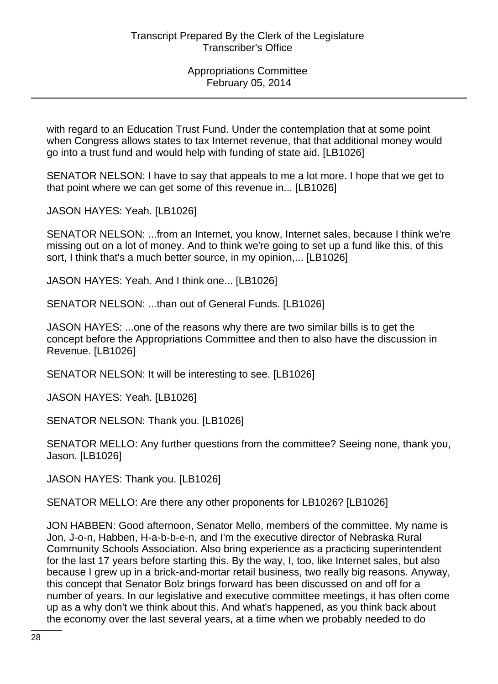with regard to an Education Trust Fund. Under the contemplation that at some point when Congress allows states to tax Internet revenue, that that additional money would go into a trust fund and would help with funding of state aid. [LB1026]

SENATOR NELSON: I have to say that appeals to me a lot more. I hope that we get to that point where we can get some of this revenue in... [LB1026]

JASON HAYES: Yeah. [LB1026]

SENATOR NELSON: ...from an Internet, you know, Internet sales, because I think we're missing out on a lot of money. And to think we're going to set up a fund like this, of this sort, I think that's a much better source, in my opinion,... [LB1026]

JASON HAYES: Yeah. And I think one... [LB1026]

SENATOR NELSON: ...than out of General Funds. [LB1026]

JASON HAYES: ...one of the reasons why there are two similar bills is to get the concept before the Appropriations Committee and then to also have the discussion in Revenue. [LB1026]

SENATOR NELSON: It will be interesting to see. [LB1026]

JASON HAYES: Yeah. [LB1026]

SENATOR NELSON: Thank you. [LB1026]

SENATOR MELLO: Any further questions from the committee? Seeing none, thank you, Jason. [LB1026]

JASON HAYES: Thank you. [LB1026]

SENATOR MELLO: Are there any other proponents for LB1026? [LB1026]

JON HABBEN: Good afternoon, Senator Mello, members of the committee. My name is Jon, J-o-n, Habben, H-a-b-b-e-n, and I'm the executive director of Nebraska Rural Community Schools Association. Also bring experience as a practicing superintendent for the last 17 years before starting this. By the way, I, too, like Internet sales, but also because I grew up in a brick-and-mortar retail business, two really big reasons. Anyway, this concept that Senator Bolz brings forward has been discussed on and off for a number of years. In our legislative and executive committee meetings, it has often come up as a why don't we think about this. And what's happened, as you think back about the economy over the last several years, at a time when we probably needed to do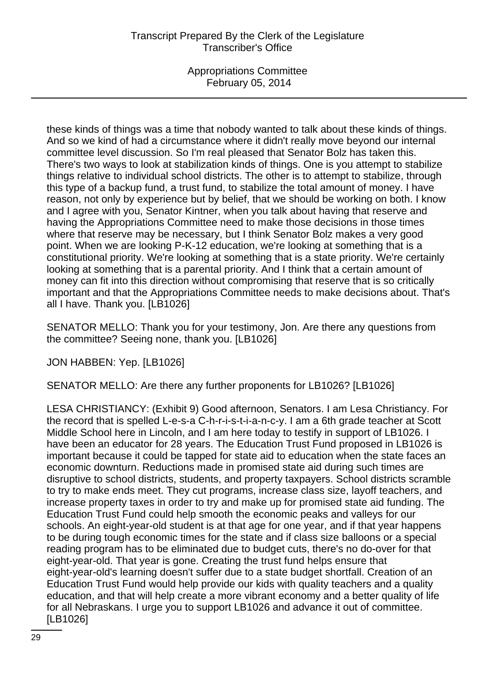these kinds of things was a time that nobody wanted to talk about these kinds of things. And so we kind of had a circumstance where it didn't really move beyond our internal committee level discussion. So I'm real pleased that Senator Bolz has taken this. There's two ways to look at stabilization kinds of things. One is you attempt to stabilize things relative to individual school districts. The other is to attempt to stabilize, through this type of a backup fund, a trust fund, to stabilize the total amount of money. I have reason, not only by experience but by belief, that we should be working on both. I know and I agree with you, Senator Kintner, when you talk about having that reserve and having the Appropriations Committee need to make those decisions in those times where that reserve may be necessary, but I think Senator Bolz makes a very good point. When we are looking P-K-12 education, we're looking at something that is a constitutional priority. We're looking at something that is a state priority. We're certainly looking at something that is a parental priority. And I think that a certain amount of money can fit into this direction without compromising that reserve that is so critically important and that the Appropriations Committee needs to make decisions about. That's all I have. Thank you. [LB1026]

SENATOR MELLO: Thank you for your testimony, Jon. Are there any questions from the committee? Seeing none, thank you. [LB1026]

JON HABBEN: Yep. [LB1026]

SENATOR MELLO: Are there any further proponents for LB1026? [LB1026]

LESA CHRISTIANCY: (Exhibit 9) Good afternoon, Senators. I am Lesa Christiancy. For the record that is spelled L-e-s-a C-h-r-i-s-t-i-a-n-c-y. I am a 6th grade teacher at Scott Middle School here in Lincoln, and I am here today to testify in support of LB1026. I have been an educator for 28 years. The Education Trust Fund proposed in LB1026 is important because it could be tapped for state aid to education when the state faces an economic downturn. Reductions made in promised state aid during such times are disruptive to school districts, students, and property taxpayers. School districts scramble to try to make ends meet. They cut programs, increase class size, layoff teachers, and increase property taxes in order to try and make up for promised state aid funding. The Education Trust Fund could help smooth the economic peaks and valleys for our schools. An eight-year-old student is at that age for one year, and if that year happens to be during tough economic times for the state and if class size balloons or a special reading program has to be eliminated due to budget cuts, there's no do-over for that eight-year-old. That year is gone. Creating the trust fund helps ensure that eight-year-old's learning doesn't suffer due to a state budget shortfall. Creation of an Education Trust Fund would help provide our kids with quality teachers and a quality education, and that will help create a more vibrant economy and a better quality of life for all Nebraskans. I urge you to support LB1026 and advance it out of committee. [LB1026]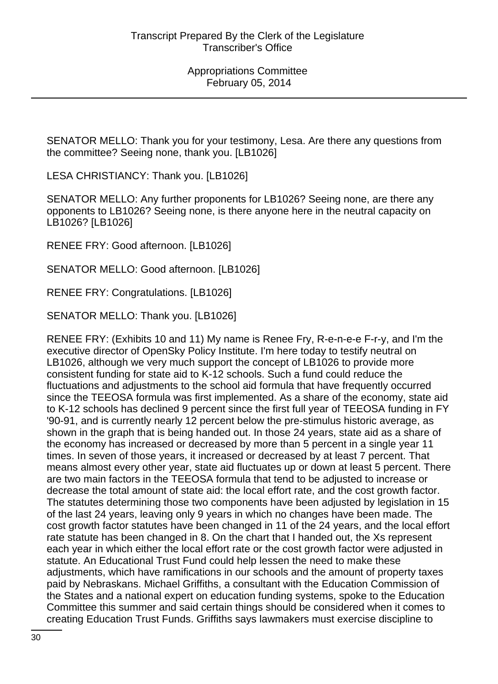SENATOR MELLO: Thank you for your testimony, Lesa. Are there any questions from the committee? Seeing none, thank you. [LB1026]

LESA CHRISTIANCY: Thank you. [LB1026]

SENATOR MELLO: Any further proponents for LB1026? Seeing none, are there any opponents to LB1026? Seeing none, is there anyone here in the neutral capacity on LB1026? [LB1026]

RENEE FRY: Good afternoon. [LB1026]

SENATOR MELLO: Good afternoon. [LB1026]

RENEE FRY: Congratulations. [LB1026]

SENATOR MELLO: Thank you. [LB1026]

RENEE FRY: (Exhibits 10 and 11) My name is Renee Fry, R-e-n-e-e F-r-y, and I'm the executive director of OpenSky Policy Institute. I'm here today to testify neutral on LB1026, although we very much support the concept of LB1026 to provide more consistent funding for state aid to K-12 schools. Such a fund could reduce the fluctuations and adjustments to the school aid formula that have frequently occurred since the TEEOSA formula was first implemented. As a share of the economy, state aid to K-12 schools has declined 9 percent since the first full year of TEEOSA funding in FY '90-91, and is currently nearly 12 percent below the pre-stimulus historic average, as shown in the graph that is being handed out. In those 24 years, state aid as a share of the economy has increased or decreased by more than 5 percent in a single year 11 times. In seven of those years, it increased or decreased by at least 7 percent. That means almost every other year, state aid fluctuates up or down at least 5 percent. There are two main factors in the TEEOSA formula that tend to be adjusted to increase or decrease the total amount of state aid: the local effort rate, and the cost growth factor. The statutes determining those two components have been adjusted by legislation in 15 of the last 24 years, leaving only 9 years in which no changes have been made. The cost growth factor statutes have been changed in 11 of the 24 years, and the local effort rate statute has been changed in 8. On the chart that I handed out, the Xs represent each year in which either the local effort rate or the cost growth factor were adjusted in statute. An Educational Trust Fund could help lessen the need to make these adjustments, which have ramifications in our schools and the amount of property taxes paid by Nebraskans. Michael Griffiths, a consultant with the Education Commission of the States and a national expert on education funding systems, spoke to the Education Committee this summer and said certain things should be considered when it comes to creating Education Trust Funds. Griffiths says lawmakers must exercise discipline to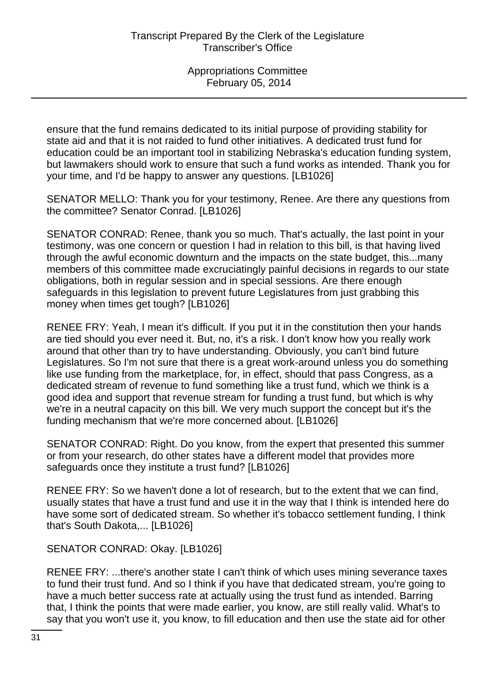ensure that the fund remains dedicated to its initial purpose of providing stability for state aid and that it is not raided to fund other initiatives. A dedicated trust fund for education could be an important tool in stabilizing Nebraska's education funding system, but lawmakers should work to ensure that such a fund works as intended. Thank you for your time, and I'd be happy to answer any questions. [LB1026]

SENATOR MELLO: Thank you for your testimony, Renee. Are there any questions from the committee? Senator Conrad. [LB1026]

SENATOR CONRAD: Renee, thank you so much. That's actually, the last point in your testimony, was one concern or question I had in relation to this bill, is that having lived through the awful economic downturn and the impacts on the state budget, this...many members of this committee made excruciatingly painful decisions in regards to our state obligations, both in regular session and in special sessions. Are there enough safeguards in this legislation to prevent future Legislatures from just grabbing this money when times get tough? [LB1026]

RENEE FRY: Yeah, I mean it's difficult. If you put it in the constitution then your hands are tied should you ever need it. But, no, it's a risk. I don't know how you really work around that other than try to have understanding. Obviously, you can't bind future Legislatures. So I'm not sure that there is a great work-around unless you do something like use funding from the marketplace, for, in effect, should that pass Congress, as a dedicated stream of revenue to fund something like a trust fund, which we think is a good idea and support that revenue stream for funding a trust fund, but which is why we're in a neutral capacity on this bill. We very much support the concept but it's the funding mechanism that we're more concerned about. [LB1026]

SENATOR CONRAD: Right. Do you know, from the expert that presented this summer or from your research, do other states have a different model that provides more safeguards once they institute a trust fund? [LB1026]

RENEE FRY: So we haven't done a lot of research, but to the extent that we can find, usually states that have a trust fund and use it in the way that I think is intended here do have some sort of dedicated stream. So whether it's tobacco settlement funding, I think that's South Dakota,... [LB1026]

SENATOR CONRAD: Okay. [LB1026]

RENEE FRY: ...there's another state I can't think of which uses mining severance taxes to fund their trust fund. And so I think if you have that dedicated stream, you're going to have a much better success rate at actually using the trust fund as intended. Barring that, I think the points that were made earlier, you know, are still really valid. What's to say that you won't use it, you know, to fill education and then use the state aid for other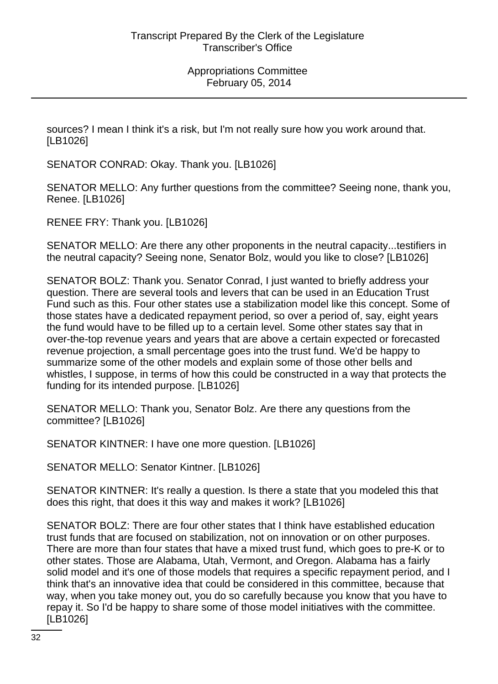sources? I mean I think it's a risk, but I'm not really sure how you work around that. [LB1026]

SENATOR CONRAD: Okay. Thank you. [LB1026]

SENATOR MELLO: Any further questions from the committee? Seeing none, thank you, Renee. [LB1026]

RENEE FRY: Thank you. [LB1026]

SENATOR MELLO: Are there any other proponents in the neutral capacity...testifiers in the neutral capacity? Seeing none, Senator Bolz, would you like to close? [LB1026]

SENATOR BOLZ: Thank you. Senator Conrad, I just wanted to briefly address your question. There are several tools and levers that can be used in an Education Trust Fund such as this. Four other states use a stabilization model like this concept. Some of those states have a dedicated repayment period, so over a period of, say, eight years the fund would have to be filled up to a certain level. Some other states say that in over-the-top revenue years and years that are above a certain expected or forecasted revenue projection, a small percentage goes into the trust fund. We'd be happy to summarize some of the other models and explain some of those other bells and whistles, I suppose, in terms of how this could be constructed in a way that protects the funding for its intended purpose. [LB1026]

SENATOR MELLO: Thank you, Senator Bolz. Are there any questions from the committee? [LB1026]

SENATOR KINTNER: I have one more question. [LB1026]

SENATOR MELLO: Senator Kintner. [LB1026]

SENATOR KINTNER: It's really a question. Is there a state that you modeled this that does this right, that does it this way and makes it work? [LB1026]

SENATOR BOLZ: There are four other states that I think have established education trust funds that are focused on stabilization, not on innovation or on other purposes. There are more than four states that have a mixed trust fund, which goes to pre-K or to other states. Those are Alabama, Utah, Vermont, and Oregon. Alabama has a fairly solid model and it's one of those models that requires a specific repayment period, and I think that's an innovative idea that could be considered in this committee, because that way, when you take money out, you do so carefully because you know that you have to repay it. So I'd be happy to share some of those model initiatives with the committee. [LB1026]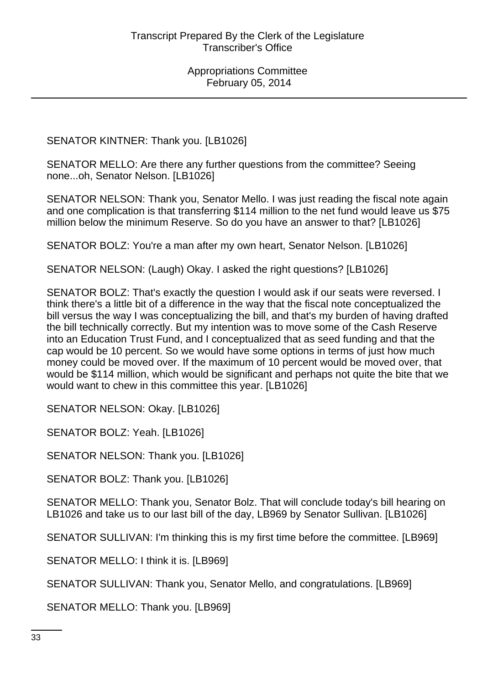SENATOR KINTNER: Thank you. [LB1026]

SENATOR MELLO: Are there any further questions from the committee? Seeing none...oh, Senator Nelson. [LB1026]

SENATOR NELSON: Thank you, Senator Mello. I was just reading the fiscal note again and one complication is that transferring \$114 million to the net fund would leave us \$75 million below the minimum Reserve. So do you have an answer to that? [LB1026]

SENATOR BOLZ: You're a man after my own heart, Senator Nelson. [LB1026]

SENATOR NELSON: (Laugh) Okay. I asked the right questions? [LB1026]

SENATOR BOLZ: That's exactly the question I would ask if our seats were reversed. I think there's a little bit of a difference in the way that the fiscal note conceptualized the bill versus the way I was conceptualizing the bill, and that's my burden of having drafted the bill technically correctly. But my intention was to move some of the Cash Reserve into an Education Trust Fund, and I conceptualized that as seed funding and that the cap would be 10 percent. So we would have some options in terms of just how much money could be moved over. If the maximum of 10 percent would be moved over, that would be \$114 million, which would be significant and perhaps not quite the bite that we would want to chew in this committee this year. [LB1026]

SENATOR NELSON: Okay. [LB1026]

SENATOR BOLZ: Yeah. [LB1026]

SENATOR NELSON: Thank you. [LB1026]

SENATOR BOLZ: Thank you. [LB1026]

SENATOR MELLO: Thank you, Senator Bolz. That will conclude today's bill hearing on LB1026 and take us to our last bill of the day, LB969 by Senator Sullivan. [LB1026]

SENATOR SULLIVAN: I'm thinking this is my first time before the committee. [LB969]

SENATOR MELLO: I think it is. [LB969]

SENATOR SULLIVAN: Thank you, Senator Mello, and congratulations. [LB969]

SENATOR MELLO: Thank you. [LB969]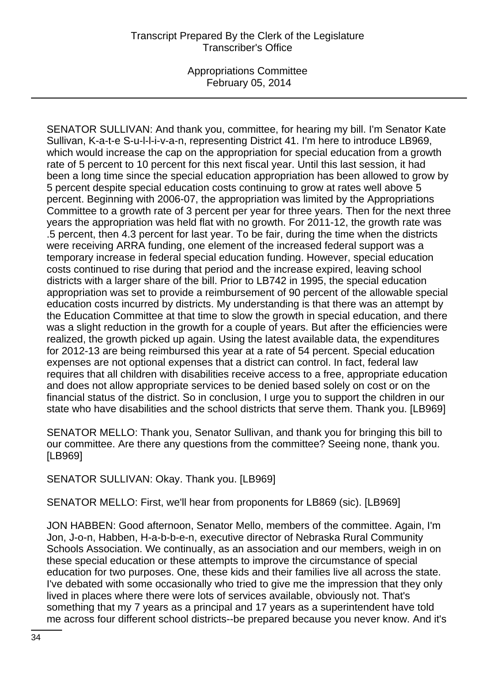SENATOR SULLIVAN: And thank you, committee, for hearing my bill. I'm Senator Kate Sullivan, K-a-t-e S-u-l-l-i-v-a-n, representing District 41. I'm here to introduce LB969, which would increase the cap on the appropriation for special education from a growth rate of 5 percent to 10 percent for this next fiscal year. Until this last session, it had been a long time since the special education appropriation has been allowed to grow by 5 percent despite special education costs continuing to grow at rates well above 5 percent. Beginning with 2006-07, the appropriation was limited by the Appropriations Committee to a growth rate of 3 percent per year for three years. Then for the next three years the appropriation was held flat with no growth. For 2011-12, the growth rate was .5 percent, then 4.3 percent for last year. To be fair, during the time when the districts were receiving ARRA funding, one element of the increased federal support was a temporary increase in federal special education funding. However, special education costs continued to rise during that period and the increase expired, leaving school districts with a larger share of the bill. Prior to LB742 in 1995, the special education appropriation was set to provide a reimbursement of 90 percent of the allowable special education costs incurred by districts. My understanding is that there was an attempt by the Education Committee at that time to slow the growth in special education, and there was a slight reduction in the growth for a couple of years. But after the efficiencies were realized, the growth picked up again. Using the latest available data, the expenditures for 2012-13 are being reimbursed this year at a rate of 54 percent. Special education expenses are not optional expenses that a district can control. In fact, federal law requires that all children with disabilities receive access to a free, appropriate education and does not allow appropriate services to be denied based solely on cost or on the financial status of the district. So in conclusion, I urge you to support the children in our state who have disabilities and the school districts that serve them. Thank you. [LB969]

SENATOR MELLO: Thank you, Senator Sullivan, and thank you for bringing this bill to our committee. Are there any questions from the committee? Seeing none, thank you. [LB969]

SENATOR SULLIVAN: Okay. Thank you. [LB969]

SENATOR MELLO: First, we'll hear from proponents for LB869 (sic). [LB969]

JON HABBEN: Good afternoon, Senator Mello, members of the committee. Again, I'm Jon, J-o-n, Habben, H-a-b-b-e-n, executive director of Nebraska Rural Community Schools Association. We continually, as an association and our members, weigh in on these special education or these attempts to improve the circumstance of special education for two purposes. One, these kids and their families live all across the state. I've debated with some occasionally who tried to give me the impression that they only lived in places where there were lots of services available, obviously not. That's something that my 7 years as a principal and 17 years as a superintendent have told me across four different school districts--be prepared because you never know. And it's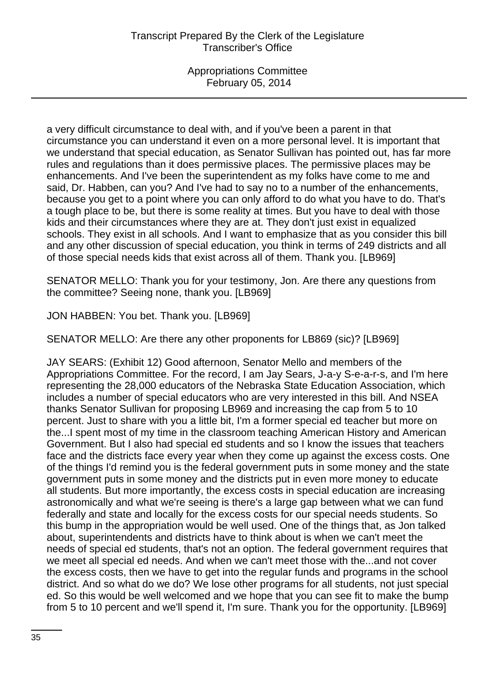a very difficult circumstance to deal with, and if you've been a parent in that circumstance you can understand it even on a more personal level. It is important that we understand that special education, as Senator Sullivan has pointed out, has far more rules and regulations than it does permissive places. The permissive places may be enhancements. And I've been the superintendent as my folks have come to me and said, Dr. Habben, can you? And I've had to say no to a number of the enhancements, because you get to a point where you can only afford to do what you have to do. That's a tough place to be, but there is some reality at times. But you have to deal with those kids and their circumstances where they are at. They don't just exist in equalized schools. They exist in all schools. And I want to emphasize that as you consider this bill and any other discussion of special education, you think in terms of 249 districts and all of those special needs kids that exist across all of them. Thank you. [LB969]

SENATOR MELLO: Thank you for your testimony, Jon. Are there any questions from the committee? Seeing none, thank you. [LB969]

JON HABBEN: You bet. Thank you. [LB969]

SENATOR MELLO: Are there any other proponents for LB869 (sic)? [LB969]

JAY SEARS: (Exhibit 12) Good afternoon, Senator Mello and members of the Appropriations Committee. For the record, I am Jay Sears, J-a-y S-e-a-r-s, and I'm here representing the 28,000 educators of the Nebraska State Education Association, which includes a number of special educators who are very interested in this bill. And NSEA thanks Senator Sullivan for proposing LB969 and increasing the cap from 5 to 10 percent. Just to share with you a little bit, I'm a former special ed teacher but more on the...I spent most of my time in the classroom teaching American History and American Government. But I also had special ed students and so I know the issues that teachers face and the districts face every year when they come up against the excess costs. One of the things I'd remind you is the federal government puts in some money and the state government puts in some money and the districts put in even more money to educate all students. But more importantly, the excess costs in special education are increasing astronomically and what we're seeing is there's a large gap between what we can fund federally and state and locally for the excess costs for our special needs students. So this bump in the appropriation would be well used. One of the things that, as Jon talked about, superintendents and districts have to think about is when we can't meet the needs of special ed students, that's not an option. The federal government requires that we meet all special ed needs. And when we can't meet those with the...and not cover the excess costs, then we have to get into the regular funds and programs in the school district. And so what do we do? We lose other programs for all students, not just special ed. So this would be well welcomed and we hope that you can see fit to make the bump from 5 to 10 percent and we'll spend it, I'm sure. Thank you for the opportunity. [LB969]